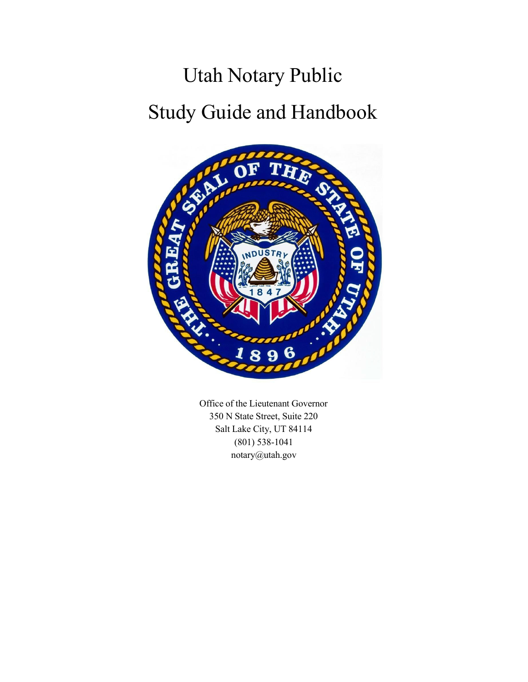# Utah Notary Public Study Guide and Handbook



Office of the Lieutenant Governor 350 N State Street, Suite 220 Salt Lake City, UT 84114 (801) 538-1041 [notary@utah.gov](mailto:notary@utah.gov)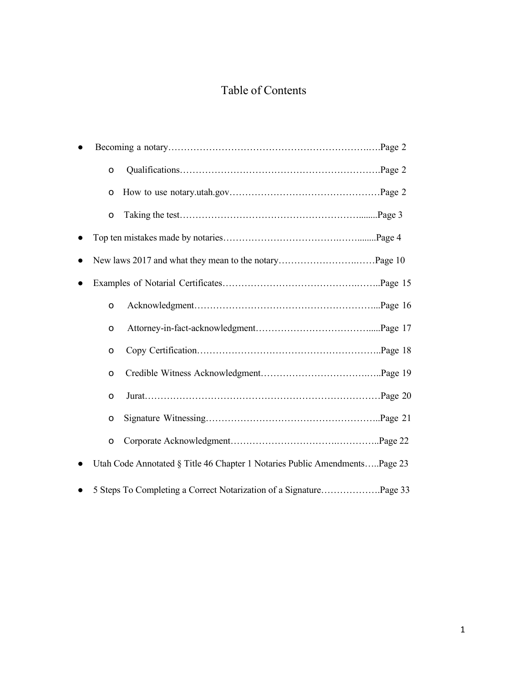### Table of Contents

| $\circ$      |                                                                            |
|--------------|----------------------------------------------------------------------------|
| O            |                                                                            |
| $\mathsf{o}$ |                                                                            |
|              |                                                                            |
|              |                                                                            |
|              |                                                                            |
| $\mathsf{o}$ |                                                                            |
| $\circ$      |                                                                            |
| o            |                                                                            |
| $\circ$      |                                                                            |
| $\circ$      |                                                                            |
| $\circ$      |                                                                            |
| $\mathsf{o}$ |                                                                            |
|              | Utah Code Annotated § Title 46 Chapter 1 Notaries Public AmendmentsPage 23 |
|              | 5 Steps To Completing a Correct Notarization of a SignaturePage 33         |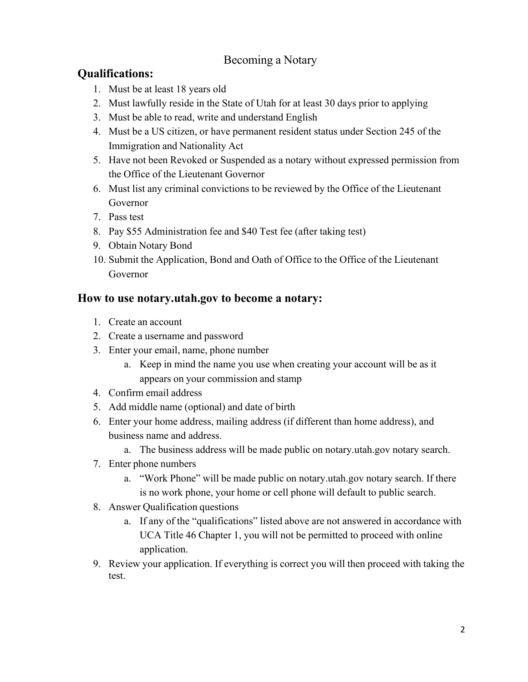### Becoming a Notary

### **Qualifications:**

- 1. Must be at least 18 years old
- 2. Must lawfully reside in the State of Utah for at least 30 days prior to applying
- 3. Must be able to read, write and understand English
- 4. Must be a US citizen, or have permanent resident status under Section 245 of the Immigration and Nationality Act
- 5. Have not been Revoked or Suspended as a notary without expressed permission from the Office of the Lieutenant Governor
- 6. Must list any criminal convictions to be reviewed by the Office of the Lieutenant Governor
- 7. Pass test
- 8. Pay \$55 Administration fee and \$40 Test fee (after taking test)
- 9. Obtain Notary Bond
- 10. Submit the Application, Bond and Oath of Office to the Office of the Lieutenant Governor

### **How to use notary.utah.gov to become a notary:**

- 1. Create an account
- 2. Create a username and password
- 3. Enter your email, name, phone number
	- a. Keep in mind the name you use when creating your account will be as it appears on your commission and stamp
- 4. Confirm email address
- 5. Add middle name (optional) and date of birth
- 6. Enter your home address, mailing address (if different than home address), and business name and address.
	- a. The business address will be made public on notary.utah.gov notary search.
- 7. Enter phone numbers
	- a. "Work Phone" will be made public on notary.utah.gov notary search. If there is no work phone, your home or cell phone will default to public search.
- 8. Answer Qualification questions
	- a. If any of the "qualifications" listed above are not answered in accordance with UCA Title 46 Chapter 1, you will not be permitted to proceed with online application.
- 9. Review your application. If everything is correct you will then proceed with taking the test.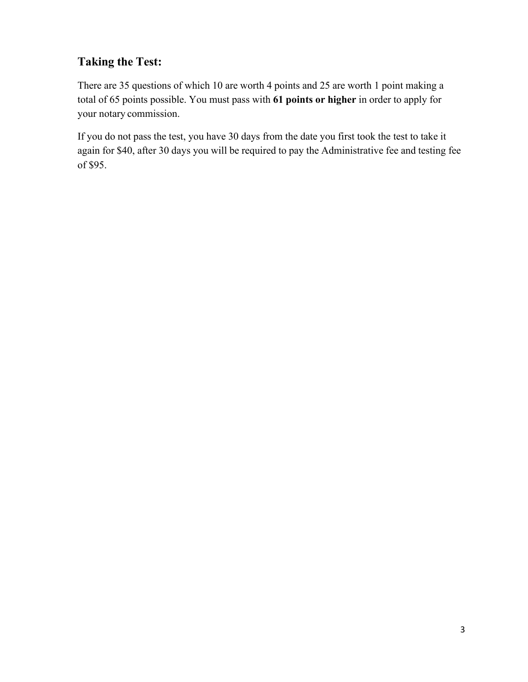### **Taking the Test:**

There are 35 questions of which 10 are worth 4 points and 25 are worth 1 point making a total of 65 points possible. You must pass with **61 points or higher** in order to apply for your notary commission.

If you do not pass the test, you have 30 days from the date you first took the test to take it again for \$40, after 30 days you will be required to pay the Administrative fee and testing fee of \$95.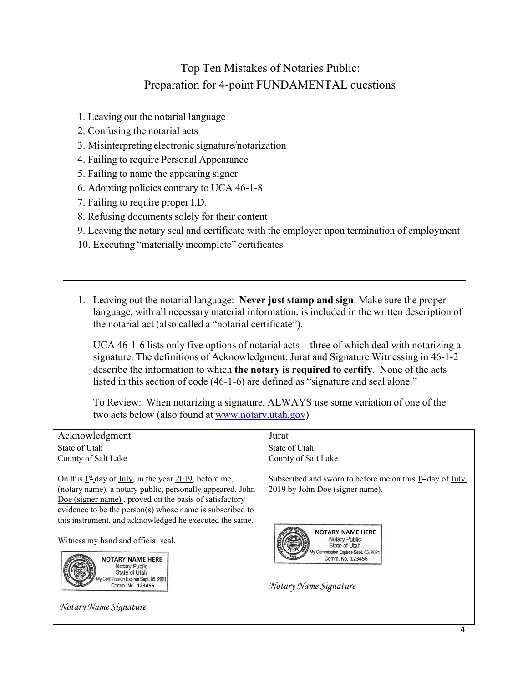### Top Ten Mistakes of Notaries Public: Preparation for 4-point FUNDAMENTAL questions

- 1. Leaving out the notarial language
- 2. Confusing the notarial acts
- 3. Misinterpreting electronic signature/notarization
- 4. Failing to require Personal Appearance
- 5. Failing to name the appearing signer
- 6. Adopting policies contrary to UCA 46-1-8
- 7. Failing to require proper I.D.
- 8. Refusing documents solely for their content
- 9. Leaving the notary seal and certificate with the employer upon termination of employment
- 10. Executing "materially incomplete" certificates
- 1. Leaving out the notarial language: **Never just stamp and sign**. Make sure the proper language, with all necessary material information, is included in the written description of the notarial act (also called a "notarial certificate").

UCA 46-1-6 lists only five options of notarial acts—three of which deal with notarizing a signature. The definitions of Acknowledgment, Jurat and Signature Witnessing in 46-1-2 describe the information to which **the notary is required to certify**. None of the acts listed in this section of code (46-1-6) are defined as "signature and seal alone."

To Review: When notarizing a signature, ALWAYS use some variation of one of the two acts below (also found at [www.notary.utah.gov\)](http://www.notary.utah.gov/)

| Acknowledgment                                                                                                                                                                                                                                                                                                                                                                                                                                                                                                              | Jurat                                                                                                                                                                                                                                             |
|-----------------------------------------------------------------------------------------------------------------------------------------------------------------------------------------------------------------------------------------------------------------------------------------------------------------------------------------------------------------------------------------------------------------------------------------------------------------------------------------------------------------------------|---------------------------------------------------------------------------------------------------------------------------------------------------------------------------------------------------------------------------------------------------|
| State of Utah                                                                                                                                                                                                                                                                                                                                                                                                                                                                                                               | State of Utah                                                                                                                                                                                                                                     |
| County of Salt Lake                                                                                                                                                                                                                                                                                                                                                                                                                                                                                                         | County of Salt Lake                                                                                                                                                                                                                               |
| On this $1^{\underline{\text{st}}}$ day of <u>July</u> , in the year 2019, before me,<br>(notary name), a notary public, personally appeared, John<br>Doe (signer name), proved on the basis of satisfactory<br>evidence to be the person(s) whose name is subscribed to<br>this instrument, and acknowledged he executed the same.<br>Witness my hand and official seal.<br><b>NOTARY NAME HERE</b><br>Notary Public<br>State of Utah<br>My Commission Expires Sept. 05, 2021<br>Comm, No. 123456<br>Notary Name Signature | Subscribed and sworn to before me on this $1st$ day of July,<br>2019 by John Doe (signer name).<br><b>NOTARY NAME HERE</b><br>Notary Public<br>State of Utah<br>My Commission Expires Sept. 05, 2021<br>Comm. No. 123456<br>Notary Name Signature |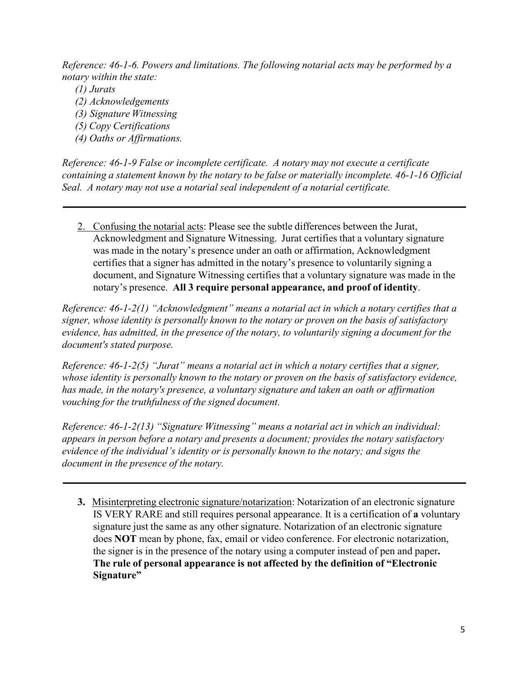*Reference: 46-1-6. Powers and limitations. The following notarial acts may be performed by a notary within the state:*

- *(1) Jurats*
- *(2) Acknowledgements*
- *(3) Signature Witnessing*
- *(5) Copy Certifications*
- *(4) Oaths or Affirmations.*

*Reference: 46-1-9 False or incomplete certificate. A notary may not execute a certificate containing a statement known by the notary to be false or materially incomplete. 46-1-16 Official Seal. A notary may not use a notarial seal independent of a notarial certificate.*

2. Confusing the notarial acts: Please see the subtle differences between the Jurat, Acknowledgment and Signature Witnessing. Jurat certifies that a voluntary signature was made in the notary's presence under an oath or affirmation, Acknowledgment certifies that a signer has admitted in the notary's presence to voluntarily signing a document, and Signature Witnessing certifies that a voluntary signature was made in the notary's presence. **All 3 require personal appearance, and proof of identity**.

*Reference: 46-1-2(1) "Acknowledgment" means a notarial act in which a notary certifies that a signer, whose identity is personally known to the notary or proven on the basis of satisfactory evidence, has admitted, in the presence of the notary, to voluntarily signing a document for the document's stated purpose.*

*Reference: 46-1-2(5) "Jurat" means a notarial act in which a notary certifies that a signer, whose identity is personally known to the notary or proven on the basis of satisfactory evidence, has made, in the notary's presence, a voluntary signature and taken an oath or affirmation vouching for the truthfulness of the signed document.*

*Reference: 46-1-2(13) "Signature Witnessing" means a notarial act in which an individual: appears in person before a notary and presents a document; provides the notary satisfactory evidence of the individual's identity or is personally known to the notary; and signs the document in the presence of the notary.*

**3.** Misinterpreting electronic signature/notarization: Notarization of an electronic signature IS VERY RARE and still requires personal appearance. It is a certification of **a** voluntary signature just the same as any other signature. Notarization of an electronic signature does **NOT** mean by phone, fax, email or video conference. For electronic notarization, the signer is in the presence of the notary using a computer instead of pen and paper**. The rule of personal appearance is not affected by the definition of "Electronic Signature"**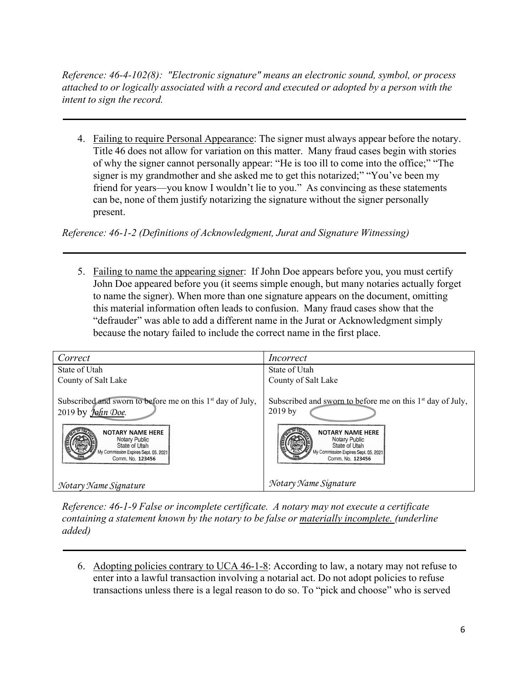*Reference: 46-4-102(8): "Electronic signature" means an electronic sound, symbol, or process attached to or logically associated with a record and executed or adopted by a person with the intent to sign the record.*

4. Failing to require Personal Appearance: The signer must always appear before the notary. Title 46 does not allow for variation on this matter. Many fraud cases begin with stories of why the signer cannot personally appear: "He is too ill to come into the office;" "The signer is my grandmother and she asked me to get this notarized;" "You've been my friend for years—you know I wouldn't lie to you." As convincing as these statements can be, none of them justify notarizing the signature without the signer personally present.

*Reference: 46-1-2 (Definitions of Acknowledgment, Jurat and Signature Witnessing)*

5. Failing to name the appearing signer: If John Doe appears before you, you must certify John Doe appeared before you (it seems simple enough, but many notaries actually forget to name the signer). When more than one signature appears on the document, omitting this material information often leads to confusion. Many fraud cases show that the "defrauder" was able to add a different name in the Jurat or Acknowledgment simply because the notary failed to include the correct name in the first place.

| Correct                                                                                                                                                                                                              | <i>Incorrect</i>                                                                                                                                                                                   |
|----------------------------------------------------------------------------------------------------------------------------------------------------------------------------------------------------------------------|----------------------------------------------------------------------------------------------------------------------------------------------------------------------------------------------------|
| State of Utah                                                                                                                                                                                                        | State of Utah                                                                                                                                                                                      |
| County of Salt Lake                                                                                                                                                                                                  | County of Salt Lake                                                                                                                                                                                |
| Subscribed and sworn to before me on this 1 <sup>st</sup> day of July,<br>2019 by John Doe.<br><b>NOTARY NAME HERE</b><br>Notary Public<br>State of Utah<br>My Commission Expires Sept. 05, 2021<br>Comm, No. 123456 | Subscribed and sworn to before me on this $1st$ day of July,<br>$2019$ by<br><b>NOTARY NAME HERE</b><br>Notary Public<br>State of Utah<br>My Commission Expires Sept. 05, 2021<br>Comm, No. 123456 |
| Notary Name Signature                                                                                                                                                                                                | Notary Name Signature                                                                                                                                                                              |

*Reference: 46-1-9 False or incomplete certificate. A notary may not execute a certificate containing a statement known by the notary to be false or materially incomplete. (underline added)*

6. Adopting policies contrary to UCA 46-1-8: According to law, a notary may not refuse to enter into a lawful transaction involving a notarial act. Do not adopt policies to refuse transactions unless there is a legal reason to do so. To "pick and choose" who is served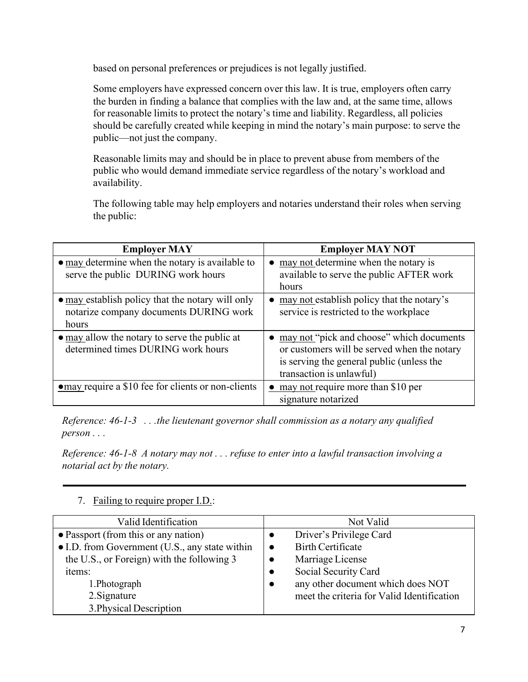based on personal preferences or prejudices is not legally justified.

Some employers have expressed concern over this law. It is true, employers often carry the burden in finding a balance that complies with the law and, at the same time, allows for reasonable limits to protect the notary's time and liability. Regardless, all policies should be carefully created while keeping in mind the notary's main purpose: to serve the public—not just the company.

Reasonable limits may and should be in place to prevent abuse from members of the public who would demand immediate service regardless of the notary's workload and availability.

The following table may help employers and notaries understand their roles when serving the public:

| <b>Employer MAY</b>                                                                                 | <b>Employer MAY NOT</b>                                                                                                                                           |
|-----------------------------------------------------------------------------------------------------|-------------------------------------------------------------------------------------------------------------------------------------------------------------------|
| $\bullet$ may determine when the notary is available to<br>serve the public DURING work hours       | • may not determine when the notary is<br>available to serve the public AFTER work<br>hours                                                                       |
| • may establish policy that the notary will only<br>notarize company documents DURING work<br>hours | may not establish policy that the notary's<br>service is restricted to the workplace                                                                              |
| $\bullet$ may allow the notary to serve the public at<br>determined times DURING work hours         | may not "pick and choose" which documents<br>or customers will be served when the notary<br>is serving the general public (unless the<br>transaction is unlawful) |
| omay require a \$10 fee for clients or non-clients                                                  | may not require more than \$10 per<br>signature notarized                                                                                                         |

*Reference: 46-1-3 . . .the lieutenant governor shall commission as a notary any qualified person . . .*

*Reference: 46-1-8 A notary may not . . . refuse to enter into a lawful transaction involving a notarial act by the notary.*

| Valid Identification                           | Not Valid                                      |
|------------------------------------------------|------------------------------------------------|
| • Passport (from this or any nation)           | Driver's Privilege Card                        |
| • I.D. from Government (U.S., any state within | <b>Birth Certificate</b><br>$\bullet$          |
| the U.S., or Foreign) with the following 3     | Marriage License<br>$\bullet$                  |
| items:                                         | Social Security Card<br>$\bullet$              |
| 1. Photograph                                  | any other document which does NOT<br>$\bullet$ |
| 2. Signature                                   | meet the criteria for Valid Identification     |
| 3. Physical Description                        |                                                |

### 7. Failing to require proper I.D.: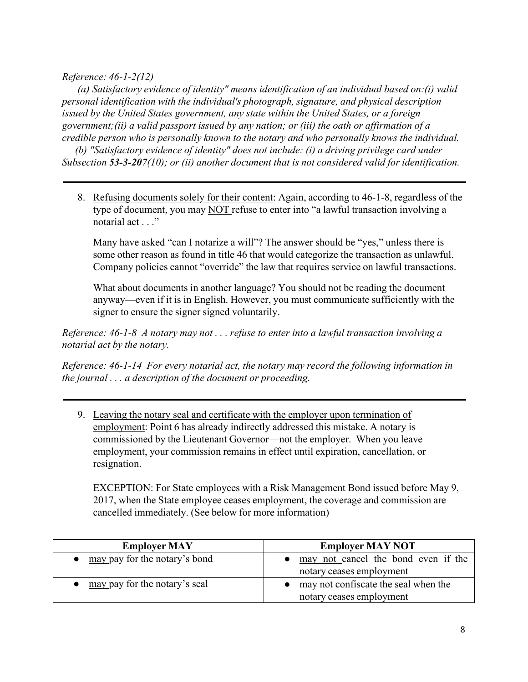### *Reference: 46-1-2(12)*

*(a) Satisfactory evidence of identity" means identification of an individual based on:(i) valid personal identification with the individual's photograph, signature, and physical description issued by the United States government, any state within the United States, or a foreign government;(ii) a valid passport issued by any nation; or (iii) the oath or affirmation of a credible person who is personally known to the notary and who personally knows the individual.*

*(b) "Satisfactory evidence of identity" does not include: (i) a driving privilege card under Subsection 53-3-207(10); or (ii) another document that is not considered valid for identification.*

8. Refusing documents solely for their content: Again, according to 46-1-8, regardless of the type of document, you may NOT refuse to enter into "a lawful transaction involving a notarial act . . ."

Many have asked "can I notarize a will"? The answer should be "yes," unless there is some other reason as found in title 46 that would categorize the transaction as unlawful. Company policies cannot "override" the law that requires service on lawful transactions.

What about documents in another language? You should not be reading the document anyway—even if it is in English. However, you must communicate sufficiently with the signer to ensure the signer signed voluntarily.

*Reference: 46-1-8 A notary may not . . . refuse to enter into a lawful transaction involving a notarial act by the notary.*

*Reference: 46-1-14 For every notarial act, the notary may record the following information in the journal . . . a description of the document or proceeding.*

9. Leaving the notary seal and certificate with the employer upon termination of employment: Point 6 has already indirectly addressed this mistake. A notary is commissioned by the Lieutenant Governor—not the employer. When you leave employment, your commission remains in effect until expiration, cancellation, or resignation.

EXCEPTION: For State employees with a Risk Management Bond issued before May 9, 2017, when the State employee ceases employment, the coverage and commission are cancelled immediately. (See below for more information)

| <b>Employer MAY</b>           | <b>Employer MAY NOT</b>                                                    |
|-------------------------------|----------------------------------------------------------------------------|
| may pay for the notary's bond | • may not cancel the bond even if the<br>notary ceases employment          |
| may pay for the notary's seal | $\bullet$ may not confiscate the seal when the<br>notary ceases employment |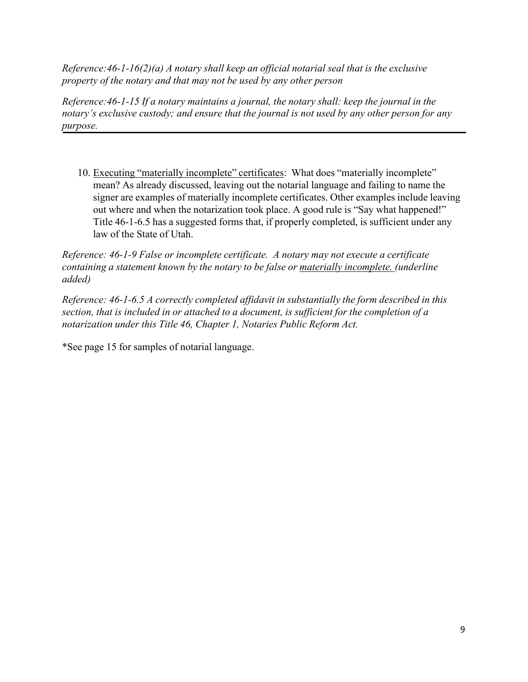*Reference:46-1-16(2)(a) A notary shall keep an official notarial seal that is the exclusive property of the notary and that may not be used by any other person*

*Reference:46-1-15 If a notary maintains a journal, the notary shall: keep the journal in the notary's exclusive custody; and ensure that the journal is not used by any other person for any purpose.*

10. Executing "materially incomplete" certificates: What does "materially incomplete" mean? As already discussed, leaving out the notarial language and failing to name the signer are examples of materially incomplete certificates. Other examples include leaving out where and when the notarization took place. A good rule is "Say what happened!" Title 46-1-6.5 has a suggested forms that, if properly completed, is sufficient under any law of the State of Utah.

*Reference: 46-1-9 False or incomplete certificate. A notary may not execute a certificate containing a statement known by the notary to be false or materially incomplete. (underline added)*

*Reference: 46-1-6.5 A correctly completed affidavit in substantially the form described in this section, that is included in or attached to a document, is sufficient for the completion of a notarization under this Title 46, Chapter 1, Notaries Public Reform Act.*

\*See page 15 for samples of notarial language.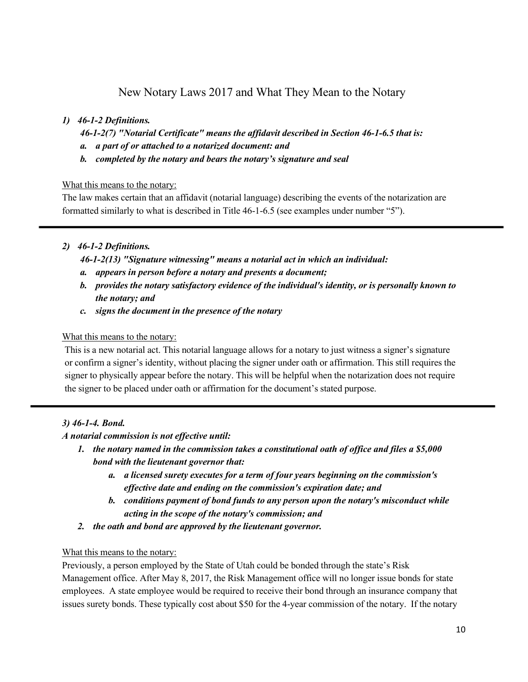### New Notary Laws 2017 and What They Mean to the Notary

### *1) 46-1-2 Definitions.*

*46-1-2(7) "Notarial Certificate" means the affidavit described in Section 46-1-6.5 that is:*

- *a. a part of or attached to a notarized document: and*
- *b. completed by the notary and bears the notary's signature and seal*

What this means to the notary:

The law makes certain that an affidavit (notarial language) describing the events of the notarization are formatted similarly to what is described in Title 46-1-6.5 (see examples under number "5").

### *2) 46-1-2 Definitions.*

*46-1-2(13) "Signature witnessing" means a notarial act in which an individual:*

- *a. appears in person before a notary and presents a document;*
- *b. provides the notary satisfactory evidence of the individual's identity, or is personally known to the notary; and*
- *c. signs the document in the presence of the notary*

### What this means to the notary:

This is a new notarial act. This notarial language allows for a notary to just witness a signer's signature or confirm a signer's identity, without placing the signer under oath or affirmation. This still requires the signer to physically appear before the notary. This will be helpful when the notarization does not require the signer to be placed under oath or affirmation for the document's stated purpose.

### *3) 46-1-4. Bond.*

### *A notarial commission is not effective until:*

- *1. the notary named in the commission takes a constitutional oath of office and files a \$5,000 bond with the lieutenant governor that:*
	- *a. a licensed surety executes for a term of four years beginning on the commission's effective date and ending on the commission's expiration date; and*
	- *b. conditions payment of bond funds to any person upon the notary's misconduct while acting in the scope of the notary's commission; and*
- *2. the oath and bond are approved by the lieutenant governor.*

### What this means to the notary:

Previously, a person employed by the State of Utah could be bonded through the state's Risk Management office. After May 8, 2017, the Risk Management office will no longer issue bonds for state employees. A state employee would be required to receive their bond through an insurance company that issues surety bonds. These typically cost about \$50 for the 4-year commission of the notary. If the notary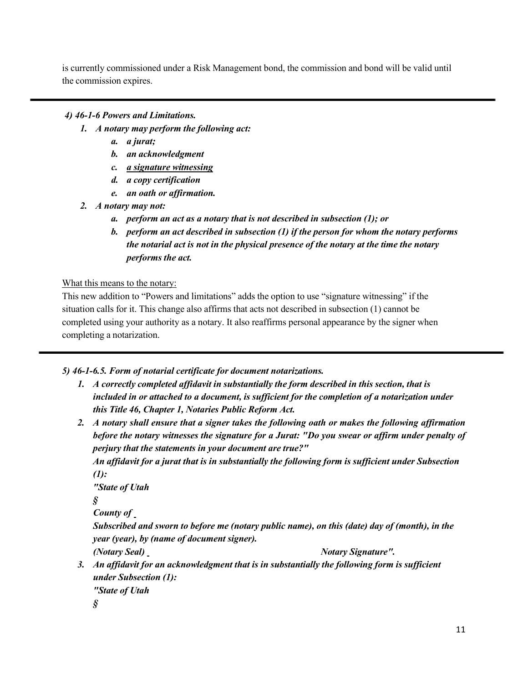is currently commissioned under a Risk Management bond, the commission and bond will be valid until the commission expires.

### *4) 46-1-6 Powers and Limitations.*

- *1. A notary may perform the following act:*
	- *a. a jurat;*
	- *b. an acknowledgment*
	- *c. a signature witnessing*
	- *d. a copy certification*
	- *e. an oath or affirmation.*
- *2. A notary may not:*
	- *a. perform an act as a notary that is not described in subsection (1); or*
	- *b. perform an act described in subsection (1) if the person for whom the notary performs the notarial act is not in the physical presence of the notary at the time the notary performs the act.*

What this means to the notary:

This new addition to "Powers and limitations" adds the option to use "signature witnessing" if the situation calls for it. This change also affirms that acts not described in subsection (1) cannot be completed using your authority as a notary. It also reaffirms personal appearance by the signer when completing a notarization.

*5) 46-1-6.5. Form of notarial certificate for document notarizations.*

- *1. A correctly completed affidavit in substantially the form described in this section, that is included in or attached to a document, is sufficient for the completion of a notarization under this Title 46, Chapter 1, Notaries Public Reform Act.*
- *2. A notary shall ensure that a signer takes the following oath or makes the following affirmation before the notary witnesses the signature for a Jurat: "Do you swear or affirm under penalty of perjury that the statements in your document are true?"*

*An affidavit for a jurat that is in substantially the following form is sufficient under Subsection (1):*

```
"State of Utah
```
*§*

*County of* 

*Subscribed and sworn to before me (notary public name), on this (date) day of (month), in the year (year), by (name of document signer).*

*(Notary Seal) Notary Signature".*

*3. An affidavit for an acknowledgment that is in substantially the following form is sufficient under Subsection (1): "State of Utah*

*§*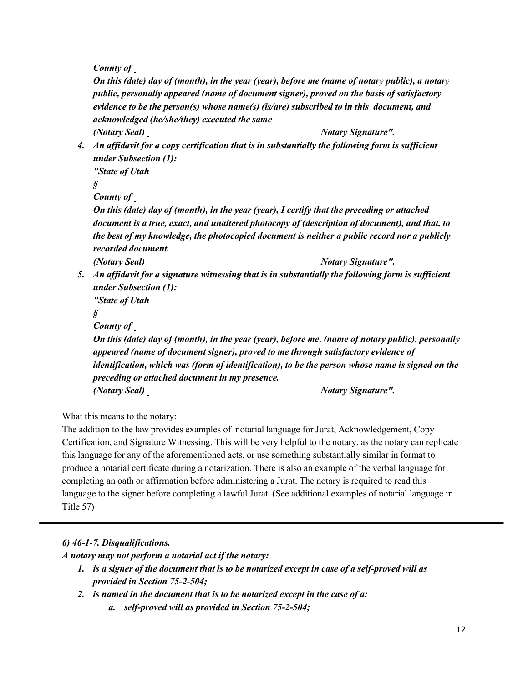*County of* 

*On this (date) day of (month), in the year (year), before me (name of notary public), a notary public, personally appeared (name of document signer), proved on the basis of satisfactory evidence to be the person(s) whose name(s) (is/are) subscribed to in this document, and acknowledged (he/she/they) executed the same (Notary Seal)* Notary *Signature''*.

*4. An affidavit for a copy certification that is in substantially the following form is sufficient under Subsection (1):*

*"State of Utah*

*§*

*County of* 

*On this (date) day of (month), in the year (year), I certify that the preceding or attached document is a true, exact, and unaltered photocopy of (description of document), and that, to the best of my knowledge, the photocopied document is neither a public record nor a publicly recorded document.*

*(Notary Seal)* Notary *Signature''*.

*5. An affidavit for a signature witnessing that is in substantially the following form is sufficient under Subsection (1):*

*"State of Utah*

*§*

*County of* 

*On this (date) day of (month), in the year (year), before me, (name of notary public), personally appeared (name of document signer), proved to me through satisfactory evidence of identification, which was (form of identification), to be the person whose name is signed on the preceding or attached document in my presence. (Notary Seal) Notary Signature".*

### What this means to the notary:

The addition to the law provides examples of notarial language for Jurat, Acknowledgement, Copy Certification, and Signature Witnessing. This will be very helpful to the notary, as the notary can replicate this language for any of the aforementioned acts, or use something substantially similar in format to produce a notarial certificate during a notarization. There is also an example of the verbal language for completing an oath or affirmation before administering a Jurat. The notary is required to read this language to the signer before completing a lawful Jurat. (See additional examples of notarial language in Title 57)

*6) 46-1-7. Disqualifications.*

*A notary may not perform a notarial act if the notary:*

1. is a signer of the document that is to be notarized except in case of a self-proved will as *provided in Section 75-2-504;*

*2. is named in the document that is to be notarized except in the case of a:*

*a. self-proved will as provided in Section 75-2-504;*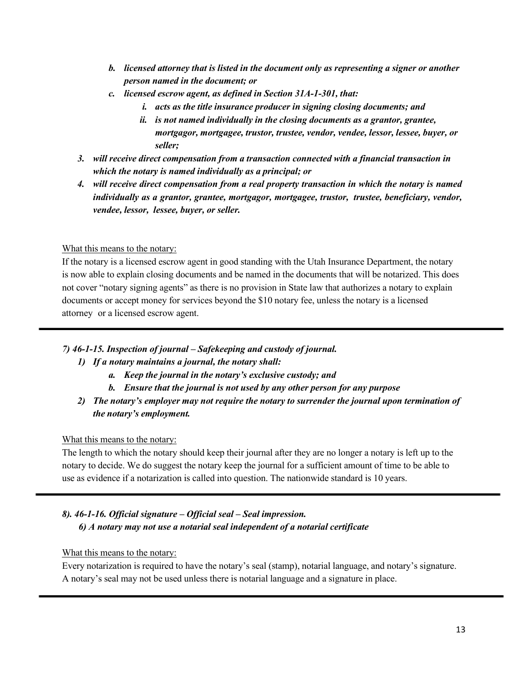- *b. licensed attorney that is listed in the document only as representing a signer or another person named in the document; or*
- *c. licensed escrow agent, as defined in Section 31A-1-301, that:*
	- *i. acts as the title insurance producer in signing closing documents; and*
	- *ii. is not named individually in the closing documents as a grantor, grantee, mortgagor, mortgagee, trustor, trustee, vendor, vendee, lessor, lessee, buyer, or seller;*
- *3. will receive direct compensation from a transaction connected with a financial transaction in which the notary is named individually as a principal; or*
- *4. will receive direct compensation from a real property transaction in which the notary is named individually as a grantor, grantee, mortgagor, mortgagee, trustor, trustee, beneficiary, vendor, vendee, lessor, lessee, buyer, or seller.*

### What this means to the notary:

If the notary is a licensed escrow agent in good standing with the Utah Insurance Department, the notary is now able to explain closing documents and be named in the documents that will be notarized. This does not cover "notary signing agents" as there is no provision in State law that authorizes a notary to explain documents or accept money for services beyond the \$10 notary fee, unless the notary is a licensed attorney or a licensed escrow agent.

### *7) 46-1-15. Inspection of journal – Safekeeping and custody of journal.*

### *1) If a notary maintains a journal, the notary shall:*

- *a. Keep the journal in the notary's exclusive custody; and*
- *b. Ensure that the journal is not used by any other person for any purpose*
- *2) The notary's employer may not require the notary to surrender the journal upon termination of the notary's employment.*

### What this means to the notary:

The length to which the notary should keep their journal after they are no longer a notary is left up to the notary to decide. We do suggest the notary keep the journal for a sufficient amount of time to be able to use as evidence if a notarization is called into question. The nationwide standard is 10 years.

### *8). 46-1-16. Official signature – Official seal – Seal impression. 6) A notary may not use a notarial seal independent of a notarial certificate*

### What this means to the notary:

Every notarization is required to have the notary's seal (stamp), notarial language, and notary's signature. A notary's seal may not be used unless there is notarial language and a signature in place.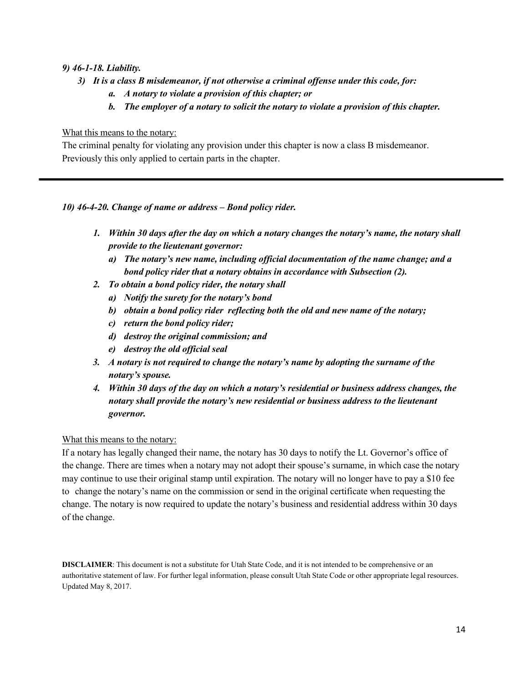#### *9) 46-1-18. Liability.*

- *3) It is a class B misdemeanor, if not otherwise a criminal offense under this code, for:*
	- *a. A notary to violate a provision of this chapter; or*
	- *b. The employer of a notary to solicit the notary to violate a provision of this chapter.*

#### What this means to the notary:

The criminal penalty for violating any provision under this chapter is now a class B misdemeanor. Previously this only applied to certain parts in the chapter.

### *10) 46-4-20. Change of name or address – Bond policy rider.*

- *1. Within 30 days after the day on which a notary changes the notary's name, the notary shall provide to the lieutenant governor:*
	- *a) The notary's new name, including official documentation of the name change; and a bond policy rider that a notary obtains in accordance with Subsection (2).*
- *2. To obtain a bond policy rider, the notary shall*
	- *a) Notify the surety for the notary's bond*
	- *b) obtain a bond policy rider reflecting both the old and new name of the notary;*
	- *c) return the bond policy rider;*
	- *d) destroy the original commission; and*
	- *e) destroy the old official seal*
- *3. A notary is not required to change the notary's name by adopting the surname of the notary's spouse.*
- *4. Within 30 days of the day on which a notary's residential or business address changes, the notary shall provide the notary's new residential or business address to the lieutenant governor.*

#### What this means to the notary:

If a notary has legally changed their name, the notary has 30 days to notify the Lt. Governor's office of the change. There are times when a notary may not adopt their spouse's surname, in which case the notary may continue to use their original stamp until expiration. The notary will no longer have to pay a \$10 fee to change the notary's name on the commission or send in the original certificate when requesting the change. The notary is now required to update the notary's business and residential address within 30 days of the change.

**DISCLAIMER**: This document is not a substitute for Utah State Code, and it is not intended to be comprehensive or an authoritative statement of law. For further legal information, please consult Utah State Code or other appropriate legal resources. Updated May 8, 2017.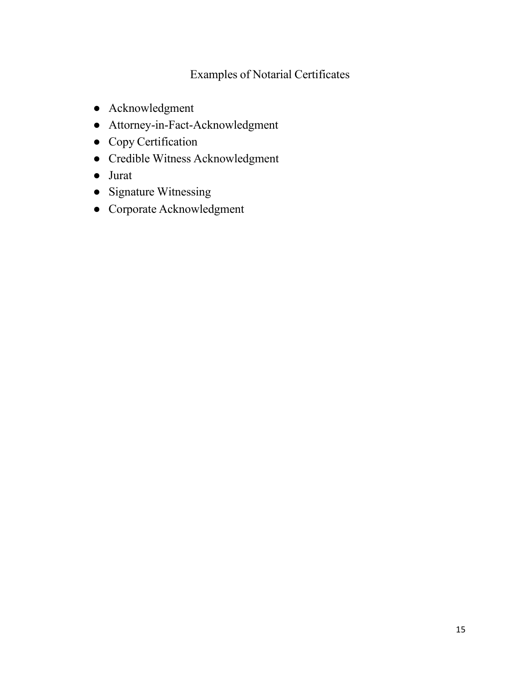### Examples of Notarial Certificates

- Acknowledgment
- Attorney-in-Fact-Acknowledgment
- Copy Certification
- Credible Witness Acknowledgment
- Jurat
- Signature Witnessing
- Corporate Acknowledgment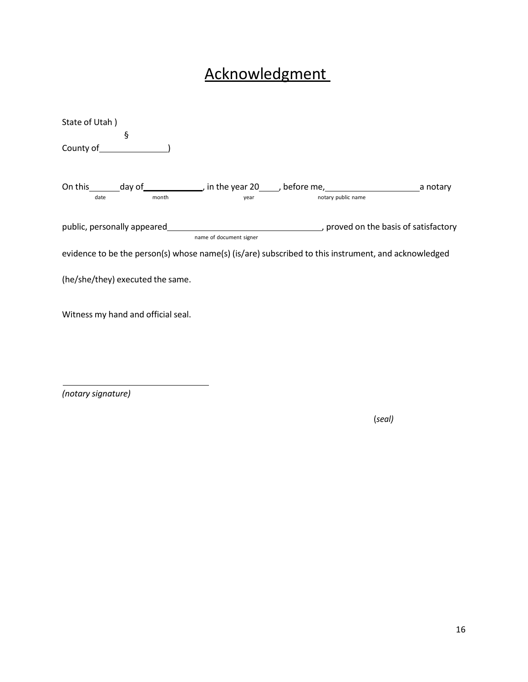# Acknowledgment

| State of Utah)                                                                                      |                         |                    |  |
|-----------------------------------------------------------------------------------------------------|-------------------------|--------------------|--|
| ş                                                                                                   |                         |                    |  |
| County of <b>County of</b>                                                                          |                         |                    |  |
|                                                                                                     |                         |                    |  |
|                                                                                                     |                         |                    |  |
| month<br>date                                                                                       | year                    | notary public name |  |
|                                                                                                     |                         |                    |  |
| public, personally appeared example and the basis of satisfactory                                   | name of document signer |                    |  |
| evidence to be the person(s) whose name(s) (is/are) subscribed to this instrument, and acknowledged |                         |                    |  |
| (he/she/they) executed the same.                                                                    |                         |                    |  |
| Witness my hand and official seal.                                                                  |                         |                    |  |

*(notary signature)*

(*seal)*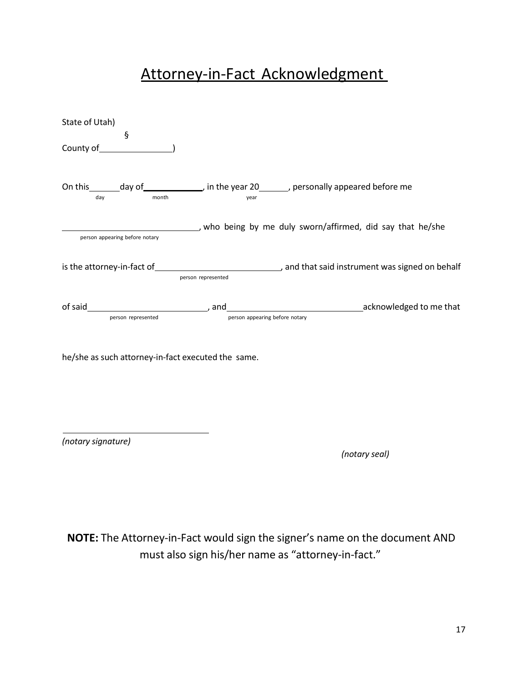# Attorney-in-Fact Acknowledgment

| State of Utah)<br>ş                                                                                                                                                                                                                                                                                                                      |                                |                                                                                  |
|------------------------------------------------------------------------------------------------------------------------------------------------------------------------------------------------------------------------------------------------------------------------------------------------------------------------------------------|--------------------------------|----------------------------------------------------------------------------------|
| County of <u>counts</u>                                                                                                                                                                                                                                                                                                                  |                                |                                                                                  |
| On this _______ day of ________________, in the year 20________, personally appeared before me<br>month<br>day and the control of the control of the control of the control of the control of the control of the control of the control of the control of the control of the control of the control of the control of the control of the | year                           |                                                                                  |
| person appearing before notary                                                                                                                                                                                                                                                                                                           |                                | who being by me duly sworn/affirmed, did say that he/she                         |
|                                                                                                                                                                                                                                                                                                                                          | person represented             | is the attorney-in-fact of example and that said instrument was signed on behalf |
| person represented                                                                                                                                                                                                                                                                                                                       | person appearing before notary | acknowledged to me that contains a series and acknowledged to me that            |
| he/she as such attorney-in-fact executed the same.                                                                                                                                                                                                                                                                                       |                                |                                                                                  |

*(notary signature)*

*(notary seal)*

**NOTE:** The Attorney-in-Fact would sign the signer's name on the document AND must also sign his/her name as "attorney-in-fact."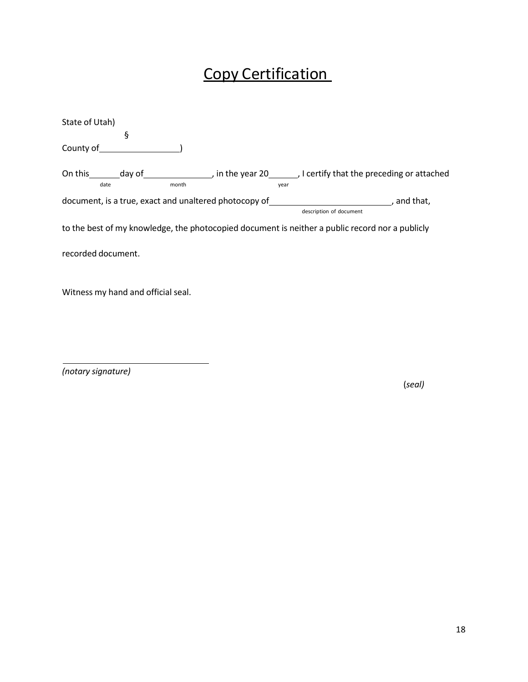# Copy Certification

| State of Utah)                                        |       |      |                                                                                                 |
|-------------------------------------------------------|-------|------|-------------------------------------------------------------------------------------------------|
| ş                                                     |       |      |                                                                                                 |
| County of                                             |       |      |                                                                                                 |
| date                                                  | month | year | On this day of and the year 20 Juliet Certify that the preceding or attached                    |
| document, is a true, exact and unaltered photocopy of |       |      | and that,<br>description of document                                                            |
|                                                       |       |      | to the best of my knowledge, the photocopied document is neither a public record nor a publicly |
| recorded document.                                    |       |      |                                                                                                 |
|                                                       |       |      |                                                                                                 |

Witness my hand and official seal.

*(notary signature)*

(*seal)*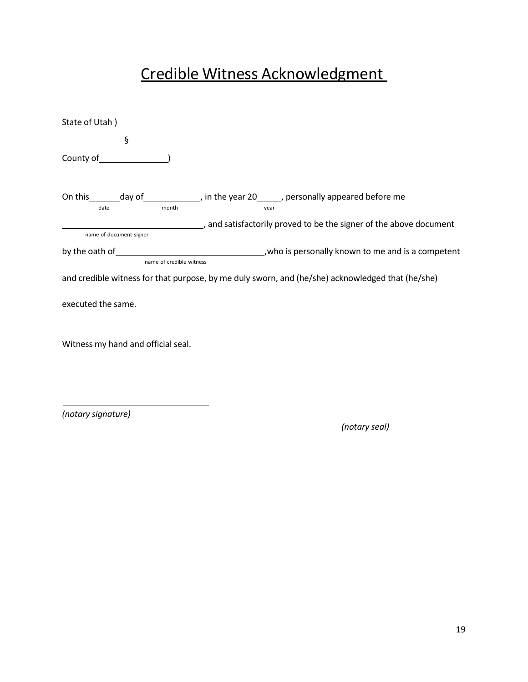# Credible Witness Acknowledgment

| State of Utah)                     |                                                                                                                |  |  |
|------------------------------------|----------------------------------------------------------------------------------------------------------------|--|--|
| ş                                  |                                                                                                                |  |  |
| County of <u>counts</u>            |                                                                                                                |  |  |
| month<br>date                      | On this ________ day of ________________, in the year 20_______, personally appeared before me<br>year         |  |  |
|                                    | and satisfactorily proved to be the signer of the above document proved to be the signer of the above document |  |  |
| name of document signer            |                                                                                                                |  |  |
|                                    |                                                                                                                |  |  |
| name of credible witness           |                                                                                                                |  |  |
|                                    | and credible witness for that purpose, by me duly sworn, and (he/she) acknowledged that (he/she)               |  |  |
| executed the same.                 |                                                                                                                |  |  |
| Witness my hand and official seal. |                                                                                                                |  |  |

*(notary signature)*

*(notary seal)*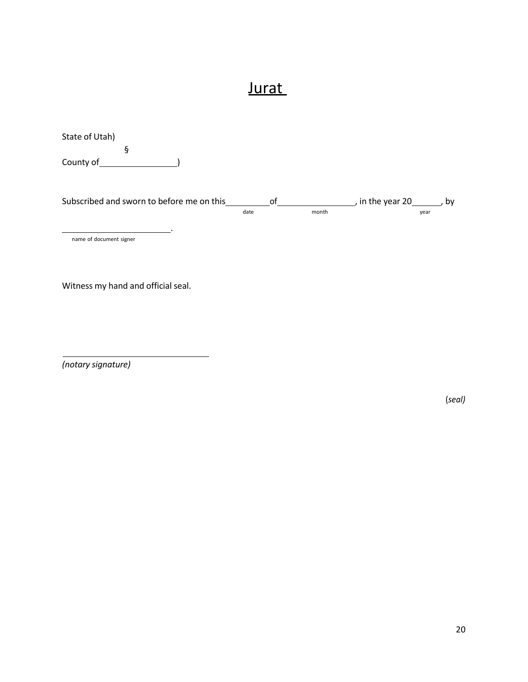## **Jurat**

| State of Utah)<br>ş                       |      |    |       |                  |      |    |
|-------------------------------------------|------|----|-------|------------------|------|----|
| County of                                 |      |    |       |                  |      |    |
| Subscribed and sworn to before me on this | date | οf | month | , in the year 20 | year | by |
| name of document signer                   |      |    |       |                  |      |    |

Witness my hand and official seal.

*(notary signature)*

(*seal)*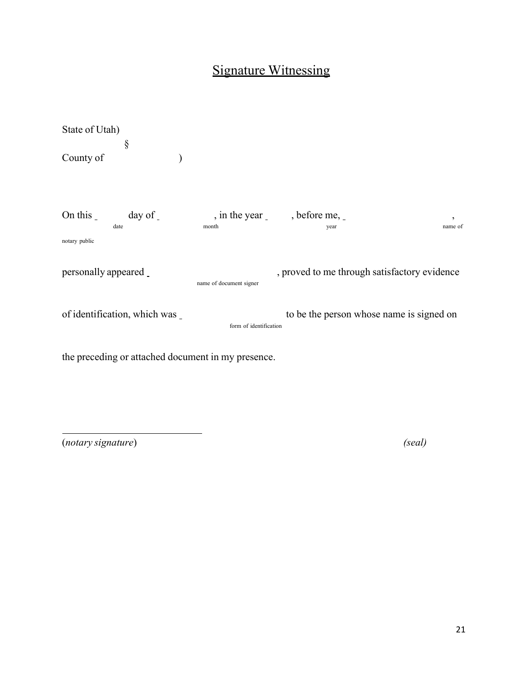### Signature Witnessing

State of Utah) § County of ) On this \_ day of \_ , in the year \_ , before me, \_ date month month year year and the manner of the manner of the manner of the manner of the manner of the manner of the manner of the manner of the manner of the manner of the manner of the manner of the manner of the manne notary public personally appeared name of document signer , proved to me through satisfactory evidence of identification, which was form of identification to be the person whose name is signed on

the preceding or attached document in my presence.

(*notary signature*) *(seal)*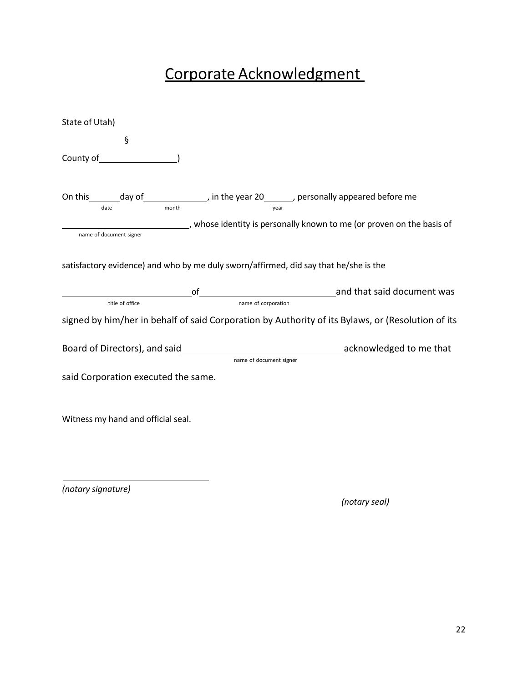# Corporate Acknowledgment

| State of Utah)                                                                                                                            |                         |                                                                                                   |
|-------------------------------------------------------------------------------------------------------------------------------------------|-------------------------|---------------------------------------------------------------------------------------------------|
| ş                                                                                                                                         |                         |                                                                                                   |
|                                                                                                                                           |                         |                                                                                                   |
| On this _______ day of ________________, in the year 20_______, personally appeared before me<br>month<br>date<br>name of document signer | year                    | whose identity is personally known to me (or proven on the basis of                               |
|                                                                                                                                           |                         |                                                                                                   |
| satisfactory evidence) and who by me duly sworn/affirmed, did say that he/she is the                                                      |                         |                                                                                                   |
|                                                                                                                                           |                         |                                                                                                   |
| title of office                                                                                                                           | name of corporation     |                                                                                                   |
|                                                                                                                                           |                         | signed by him/her in behalf of said Corporation by Authority of its Bylaws, or (Resolution of its |
|                                                                                                                                           |                         |                                                                                                   |
|                                                                                                                                           | name of document signer |                                                                                                   |
| said Corporation executed the same.                                                                                                       |                         |                                                                                                   |
| Witness my hand and official seal.                                                                                                        |                         |                                                                                                   |
|                                                                                                                                           |                         |                                                                                                   |
|                                                                                                                                           |                         |                                                                                                   |
|                                                                                                                                           |                         |                                                                                                   |

*(notary signature)*

*(notary seal)*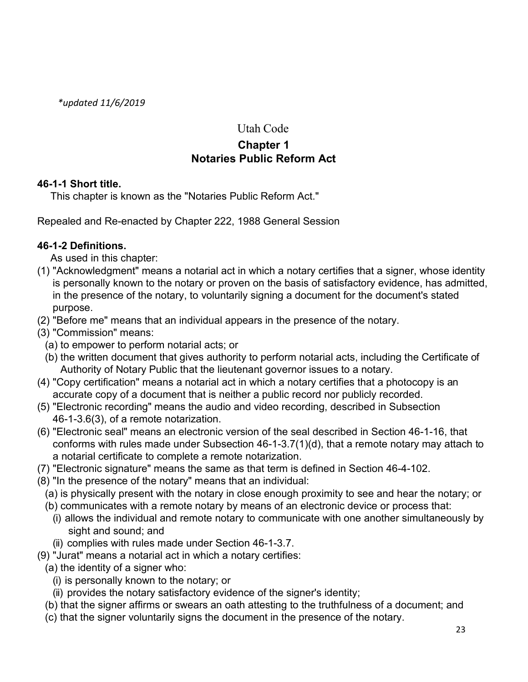*\*updated 11/6/2019*

### Utah Code

### **Chapter 1 Notaries Public Reform Act**

### **46-1-1 Short title.**

This chapter is known as the "Notaries Public Reform Act."

Repealed and Re-enacted by Chapter 222, 1988 General Session

### **46-1-2 Definitions.**

As used in this chapter:

- (1) "Acknowledgment" means a notarial act in which a notary certifies that a signer, whose identity is personally known to the notary or proven on the basis of satisfactory evidence, has admitted, in the presence of the notary, to voluntarily signing a document for the document's stated purpose.
- (2) "Before me" means that an individual appears in the presence of the notary.
- (3) "Commission" means:
	- (a) to empower to perform notarial acts; or
	- (b) the written document that gives authority to perform notarial acts, including the Certificate of Authority of Notary Public that the lieutenant governor issues to a notary.
- (4) "Copy certification" means a notarial act in which a notary certifies that a photocopy is an accurate copy of a document that is neither a public record nor publicly recorded.
- (5) "Electronic recording" means the audio and video recording, described in Subsection 46-1-3.6(3), of a remote notarization.
- (6) "Electronic seal" means an electronic version of the seal described in Section 46-1-16, that conforms with rules made under Subsection 46-1-3.7(1)(d), that a remote notary may attach to a notarial certificate to complete a remote notarization.
- (7) "Electronic signature" means the same as that term is defined in Section 46-4-102.
- (8) "In the presence of the notary" means that an individual:
	- (a) is physically present with the notary in close enough proximity to see and hear the notary; or
	- (b) communicates with a remote notary by means of an electronic device or process that:
		- (i) allows the individual and remote notary to communicate with one another simultaneously by sight and sound; and
		- (ii) complies with rules made under Section 46-1-3.7.
- (9) "Jurat" means a notarial act in which a notary certifies:
	- (a) the identity of a signer who:
		- (i) is personally known to the notary; or
		- (ii) provides the notary satisfactory evidence of the signer's identity;
	- (b) that the signer affirms or swears an oath attesting to the truthfulness of a document; and
	- (c) that the signer voluntarily signs the document in the presence of the notary.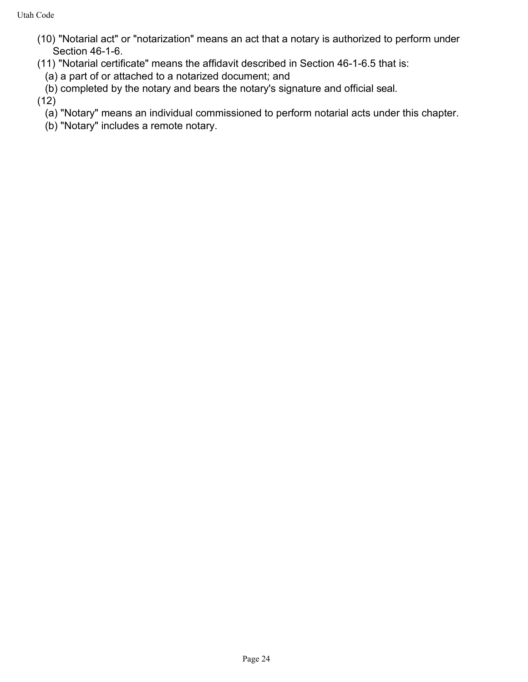- (10) "Notarial act" or "notarization" means an act that a notary is authorized to perform under Section 46-1-6.
- (11) "Notarial certificate" means the affidavit described in Section 46-1-6.5 that is:
	- (a) a part of or attached to a notarized document; and
	- (b) completed by the notary and bears the notary's signature and official seal.

(12)

- (a) "Notary" means an individual commissioned to perform notarial acts under this chapter.
- (b) "Notary" includes a remote notary.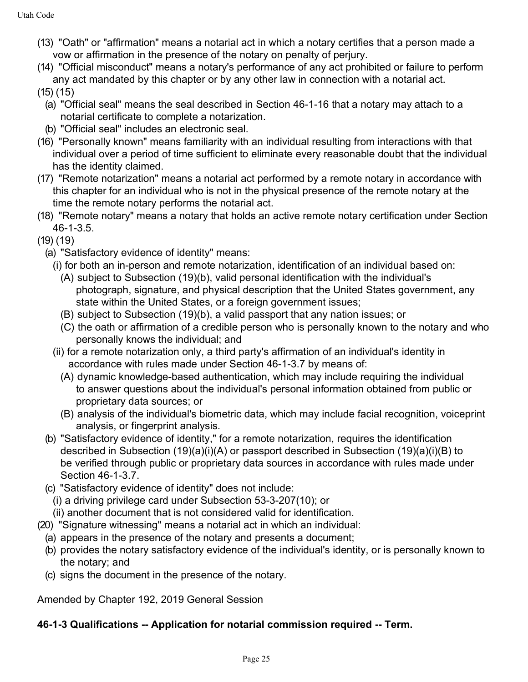- (13) "Oath" or "affirmation" means a notarial act in which a notary certifies that a person made a vow or affirmation in the presence of the notary on penalty of perjury.
- (14) "Official misconduct" means a notary's performance of any act prohibited or failure to perform any act mandated by this chapter or by any other law in connection with a notarial act. (15) (15)
	- (a) "Official seal" means the seal described in Section 46-1-16 that a notary may attach to a notarial certificate to complete a notarization.
	- (b) "Official seal" includes an electronic seal.
- (16) "Personally known" means familiarity with an individual resulting from interactions with that individual over a period of time sufficient to eliminate every reasonable doubt that the individual has the identity claimed.
- (17) "Remote notarization" means a notarial act performed by a remote notary in accordance with this chapter for an individual who is not in the physical presence of the remote notary at the time the remote notary performs the notarial act.
- (18) "Remote notary" means a notary that holds an active remote notary certification under Section 46-1-3.5.
- (19) (19)
	- (a) "Satisfactory evidence of identity" means:
		- (i) for both an in-person and remote notarization, identification of an individual based on:
			- (A) subject to Subsection (19)(b), valid personal identification with the individual's photograph, signature, and physical description that the United States government, any state within the United States, or a foreign government issues;
			- (B) subject to Subsection (19)(b), a valid passport that any nation issues; or
			- (C) the oath or affirmation of a credible person who is personally known to the notary and who personally knows the individual; and
		- (ii) for a remote notarization only, a third party's affirmation of an individual's identity in accordance with rules made under Section 46-1-3.7 by means of:
			- (A) dynamic knowledge-based authentication, which may include requiring the individual to answer questions about the individual's personal information obtained from public or proprietary data sources; or
			- (B) analysis of the individual's biometric data, which may include facial recognition, voiceprint analysis, or fingerprint analysis.
	- (b) "Satisfactory evidence of identity," for a remote notarization, requires the identification described in Subsection (19)(a)(i)(A) or passport described in Subsection (19)(a)(i)(B) to be verified through public or proprietary data sources in accordance with rules made under Section 46-1-3.7.
	- (c) "Satisfactory evidence of identity" does not include:
		- (i) a driving privilege card under Subsection 53-3-207(10); or
		- (ii) another document that is not considered valid for identification.
- (20) "Signature witnessing" means a notarial act in which an individual:
	- (a) appears in the presence of the notary and presents a document;
	- (b) provides the notary satisfactory evidence of the individual's identity, or is personally known to the notary; and
	- (c) signs the document in the presence of the notary.

Amended by Chapter 192, 2019 General Session

### **46-1-3 Qualifications -- Application for notarial commission required -- Term.**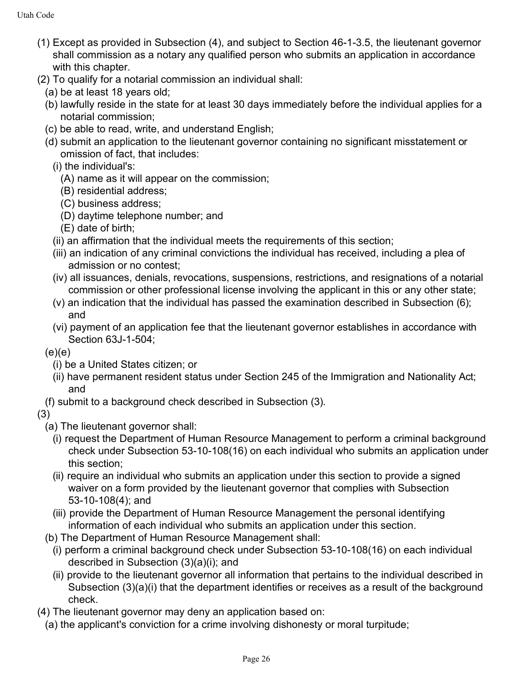- (1) Except as provided in Subsection (4), and subject to Section 46-1-3.5, the lieutenant governor shall commission as a notary any qualified person who submits an application in accordance with this chapter.
- (2) To qualify for a notarial commission an individual shall:
	- (a) be at least 18 years old;
	- (b) lawfully reside in the state for at least 30 days immediately before the individual applies for a notarial commission;
	- (c) be able to read, write, and understand English;
	- (d) submit an application to the lieutenant governor containing no significant misstatement or omission of fact, that includes:
		- (i) the individual's:
			- (A) name as it will appear on the commission;
			- (B) residential address;
			- (C) business address;
			- (D) daytime telephone number; and
			- (E) date of birth;
		- (ii) an affirmation that the individual meets the requirements of this section;
		- (iii) an indication of any criminal convictions the individual has received, including a plea of admission or no contest;
		- (iv) all issuances, denials, revocations, suspensions, restrictions, and resignations of a notarial commission or other professional license involving the applicant in this or any other state;
		- (v) an indication that the individual has passed the examination described in Subsection (6); and
		- (vi) payment of an application fee that the lieutenant governor establishes in accordance with Section 63J-1-504;
	- $(e)(e)$ 
		- (i) be a United States citizen; or
		- (ii) have permanent resident status under Section 245 of the Immigration and Nationality Act; and
	- (f) submit to a background check described in Subsection (3).
- (3)
	- (a) The lieutenant governor shall:
		- (i) request the Department of Human Resource Management to perform a criminal background check under Subsection 53-10-108(16) on each individual who submits an application under this section;
		- (ii) require an individual who submits an application under this section to provide a signed waiver on a form provided by the lieutenant governor that complies with Subsection 53-10-108(4); and
		- (iii) provide the Department of Human Resource Management the personal identifying information of each individual who submits an application under this section.
	- (b) The Department of Human Resource Management shall:
		- (i) perform a criminal background check under Subsection 53-10-108(16) on each individual described in Subsection (3)(a)(i); and
		- (ii) provide to the lieutenant governor all information that pertains to the individual described in Subsection (3)(a)(i) that the department identifies or receives as a result of the background check.
- (4) The lieutenant governor may deny an application based on:
	- (a) the applicant's conviction for a crime involving dishonesty or moral turpitude;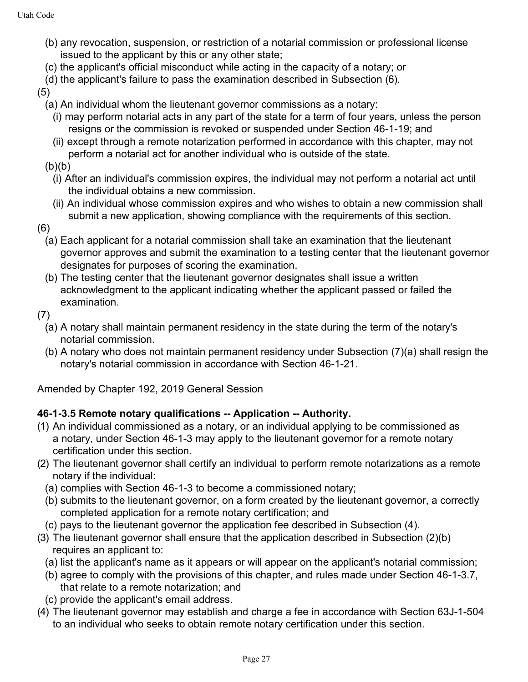- (b) any revocation, suspension, or restriction of a notarial commission or professional license issued to the applicant by this or any other state;
- (c) the applicant's official misconduct while acting in the capacity of a notary; or
- (d) the applicant's failure to pass the examination described in Subsection (6).

(5)

- (a) An individual whom the lieutenant governor commissions as a notary:
	- (i) may perform notarial acts in any part of the state for a term of four years, unless the person resigns or the commission is revoked or suspended under Section 46-1-19; and
	- (ii) except through a remote notarization performed in accordance with this chapter, may not perform a notarial act for another individual who is outside of the state.
- $(b)(b)$ 
	- (i) After an individual's commission expires, the individual may not perform a notarial act until the individual obtains a new commission.
	- (ii) An individual whose commission expires and who wishes to obtain a new commission shall submit a new application, showing compliance with the requirements of this section.
- (6)
	- (a) Each applicant for a notarial commission shall take an examination that the lieutenant governor approves and submit the examination to a testing center that the lieutenant governor designates for purposes of scoring the examination.
	- (b) The testing center that the lieutenant governor designates shall issue a written acknowledgment to the applicant indicating whether the applicant passed or failed the examination.
- (7)
	- (a) A notary shall maintain permanent residency in the state during the term of the notary's notarial commission.
	- (b) A notary who does not maintain permanent residency under Subsection (7)(a) shall resign the notary's notarial commission in accordance with Section 46-1-21.

Amended by Chapter 192, 2019 General Session

### **46-1-3.5 Remote notary qualifications -- Application -- Authority.**

- (1) An individual commissioned as a notary, or an individual applying to be commissioned as a notary, under Section 46-1-3 may apply to the lieutenant governor for a remote notary certification under this section.
- (2) The lieutenant governor shall certify an individual to perform remote notarizations as a remote notary if the individual:
	- (a) complies with Section 46-1-3 to become a commissioned notary;
	- (b) submits to the lieutenant governor, on a form created by the lieutenant governor, a correctly completed application for a remote notary certification; and
- (c) pays to the lieutenant governor the application fee described in Subsection (4).
- (3) The lieutenant governor shall ensure that the application described in Subsection (2)(b) requires an applicant to:
	- (a) list the applicant's name as it appears or will appear on the applicant's notarial commission;
	- (b) agree to comply with the provisions of this chapter, and rules made under Section 46-1-3.7, that relate to a remote notarization; and
	- (c) provide the applicant's email address.
- (4) The lieutenant governor may establish and charge a fee in accordance with Section 63J-1-504 to an individual who seeks to obtain remote notary certification under this section.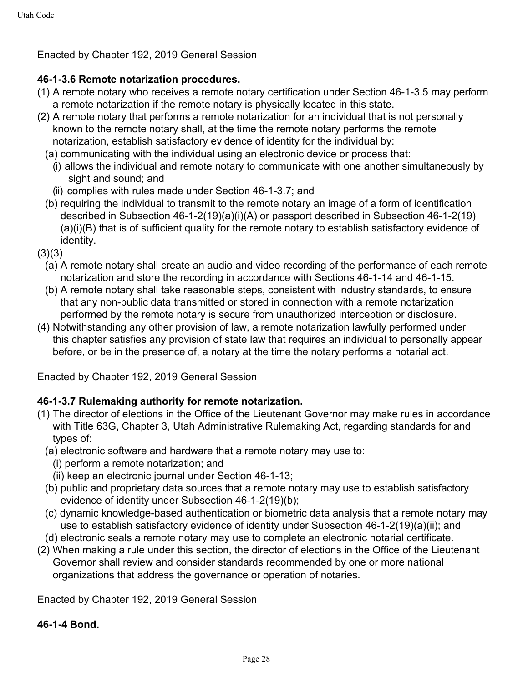Enacted by Chapter 192, 2019 General Session

### **46-1-3.6 Remote notarization procedures.**

- (1) A remote notary who receives a remote notary certification under Section 46-1-3.5 may perform a remote notarization if the remote notary is physically located in this state.
- (2) A remote notary that performs a remote notarization for an individual that is not personally known to the remote notary shall, at the time the remote notary performs the remote notarization, establish satisfactory evidence of identity for the individual by:
	- (a) communicating with the individual using an electronic device or process that:
		- (i) allows the individual and remote notary to communicate with one another simultaneously by sight and sound; and
		- (ii) complies with rules made under Section 46-1-3.7; and
	- (b) requiring the individual to transmit to the remote notary an image of a form of identification described in Subsection 46-1-2(19)(a)(i)(A) or passport described in Subsection 46-1-2(19) (a)(i)(B) that is of sufficient quality for the remote notary to establish satisfactory evidence of identity.
- $(3)(3)$ 
	- (a) A remote notary shall create an audio and video recording of the performance of each remote notarization and store the recording in accordance with Sections 46-1-14 and 46-1-15.
	- (b) A remote notary shall take reasonable steps, consistent with industry standards, to ensure that any non-public data transmitted or stored in connection with a remote notarization performed by the remote notary is secure from unauthorized interception or disclosure.
- (4) Notwithstanding any other provision of law, a remote notarization lawfully performed under this chapter satisfies any provision of state law that requires an individual to personally appear before, or be in the presence of, a notary at the time the notary performs a notarial act.

Enacted by Chapter 192, 2019 General Session

### **46-1-3.7 Rulemaking authority for remote notarization.**

- (1) The director of elections in the Office of the Lieutenant Governor may make rules in accordance with Title 63G, Chapter 3, Utah Administrative Rulemaking Act, regarding standards for and types of:
	- (a) electronic software and hardware that a remote notary may use to:
		- (i) perform a remote notarization; and
		- (ii) keep an electronic journal under Section 46-1-13;
	- (b) public and proprietary data sources that a remote notary may use to establish satisfactory evidence of identity under Subsection 46-1-2(19)(b);
	- (c) dynamic knowledge-based authentication or biometric data analysis that a remote notary may use to establish satisfactory evidence of identity under Subsection 46-1-2(19)(a)(ii); and
- (d) electronic seals a remote notary may use to complete an electronic notarial certificate.
- (2) When making a rule under this section, the director of elections in the Office of the Lieutenant Governor shall review and consider standards recommended by one or more national organizations that address the governance or operation of notaries.

Enacted by Chapter 192, 2019 General Session

### **46-1-4 Bond.**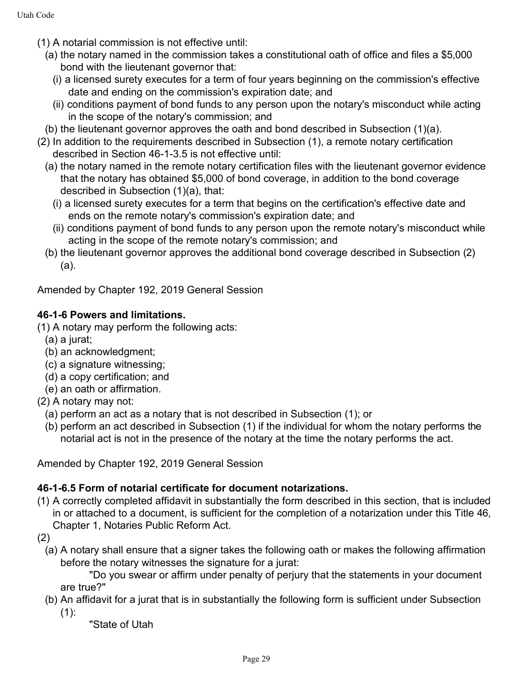- (1) A notarial commission is not effective until:
	- (a) the notary named in the commission takes a constitutional oath of office and files a \$5,000 bond with the lieutenant governor that:
		- (i) a licensed surety executes for a term of four years beginning on the commission's effective date and ending on the commission's expiration date; and
		- (ii) conditions payment of bond funds to any person upon the notary's misconduct while acting in the scope of the notary's commission; and
- (b) the lieutenant governor approves the oath and bond described in Subsection (1)(a).
- (2) In addition to the requirements described in Subsection (1), a remote notary certification described in Section 46-1-3.5 is not effective until:
	- (a) the notary named in the remote notary certification files with the lieutenant governor evidence that the notary has obtained \$5,000 of bond coverage, in addition to the bond coverage described in Subsection (1)(a), that:
		- (i) a licensed surety executes for a term that begins on the certification's effective date and ends on the remote notary's commission's expiration date; and
		- (ii) conditions payment of bond funds to any person upon the remote notary's misconduct while acting in the scope of the remote notary's commission; and
	- (b) the lieutenant governor approves the additional bond coverage described in Subsection (2) (a).

Amended by Chapter 192, 2019 General Session

### **46-1-6 Powers and limitations.**

(1) A notary may perform the following acts:

- (a) a jurat;
- (b) an acknowledgment;
- (c) a signature witnessing;
- (d) a copy certification; and
- (e) an oath or affirmation.
- (2) A notary may not:
	- (a) perform an act as a notary that is not described in Subsection (1); or
	- (b) perform an act described in Subsection (1) if the individual for whom the notary performs the notarial act is not in the presence of the notary at the time the notary performs the act.

Amended by Chapter 192, 2019 General Session

### **46-1-6.5 Form of notarial certificate for document notarizations.**

- (1) A correctly completed affidavit in substantially the form described in this section, that is included in or attached to a document, is sufficient for the completion of a notarization under this Title 46, Chapter 1, Notaries Public Reform Act.
- (2)
	- (a) A notary shall ensure that a signer takes the following oath or makes the following affirmation before the notary witnesses the signature for a jurat:

"Do you swear or affirm under penalty of perjury that the statements in your document are true?"

(b) An affidavit for a jurat that is in substantially the following form is sufficient under Subsection  $(1)$ :

"State of Utah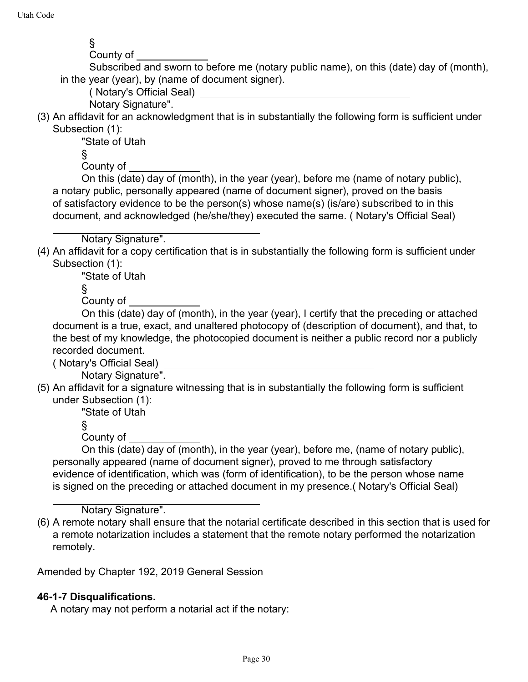§ County of

Subscribed and sworn to before me (notary public name), on this (date) day of (month), in the year (year), by (name of document signer).

( Notary's Official Seal)

Notary Signature".

(3) An affidavit for an acknowledgment that is in substantially the following form is sufficient under Subsection (1):

"State of Utah

§

County of

On this (date) day of (month), in the year (year), before me (name of notary public), a notary public, personally appeared (name of document signer), proved on the basis of satisfactory evidence to be the person(s) whose name(s) (is/are) subscribed to in this document, and acknowledged (he/she/they) executed the same. ( Notary's Official Seal)

Notary Signature".

(4) An affidavit for a copy certification that is in substantially the following form is sufficient under Subsection (1):

"State of Utah

§

County of

On this (date) day of (month), in the year (year), I certify that the preceding or attached document is a true, exact, and unaltered photocopy of (description of document), and that, to the best of my knowledge, the photocopied document is neither a public record nor a publicly recorded document.

( Notary's Official Seal)

Notary Signature".

(5) An affidavit for a signature witnessing that is in substantially the following form is sufficient under Subsection (1):

"State of Utah

§

County of

On this (date) day of (month), in the year (year), before me, (name of notary public), personally appeared (name of document signer), proved to me through satisfactory evidence of identification, which was (form of identification), to be the person whose name is signed on the preceding or attached document in my presence.( Notary's Official Seal)

Notary Signature".

(6) A remote notary shall ensure that the notarial certificate described in this section that is used for a remote notarization includes a statement that the remote notary performed the notarization remotely.

Amended by Chapter 192, 2019 General Session

### **46-1-7 Disqualifications.**

A notary may not perform a notarial act if the notary: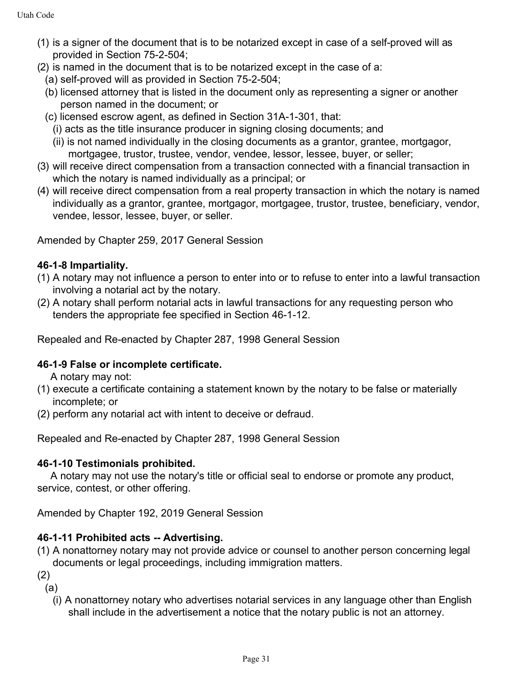- (1) is a signer of the document that is to be notarized except in case of a self-proved will as provided in Section 75-2-504;
- (2) is named in the document that is to be notarized except in the case of a:
	- (a) self-proved will as provided in Section 75-2-504;
	- (b) licensed attorney that is listed in the document only as representing a signer or another person named in the document; or
	- (c) licensed escrow agent, as defined in Section 31A-1-301, that:
		- (i) acts as the title insurance producer in signing closing documents; and
		- (ii) is not named individually in the closing documents as a grantor, grantee, mortgagor, mortgagee, trustor, trustee, vendor, vendee, lessor, lessee, buyer, or seller;
- (3) will receive direct compensation from a transaction connected with a financial transaction in which the notary is named individually as a principal; or
- (4) will receive direct compensation from a real property transaction in which the notary is named individually as a grantor, grantee, mortgagor, mortgagee, trustor, trustee, beneficiary, vendor, vendee, lessor, lessee, buyer, or seller.

Amended by Chapter 259, 2017 General Session

### **46-1-8 Impartiality.**

- (1) A notary may not influence a person to enter into or to refuse to enter into a lawful transaction involving a notarial act by the notary.
- (2) A notary shall perform notarial acts in lawful transactions for any requesting person who tenders the appropriate fee specified in Section 46-1-12.

Repealed and Re-enacted by Chapter 287, 1998 General Session

### **46-1-9 False or incomplete certificate.**

A notary may not:

- (1) execute a certificate containing a statement known by the notary to be false or materially incomplete; or
- (2) perform any notarial act with intent to deceive or defraud.

Repealed and Re-enacted by Chapter 287, 1998 General Session

### **46-1-10 Testimonials prohibited.**

A notary may not use the notary's title or official seal to endorse or promote any product, service, contest, or other offering.

Amended by Chapter 192, 2019 General Session

### **46-1-11 Prohibited acts -- Advertising.**

- (1) A nonattorney notary may not provide advice or counsel to another person concerning legal documents or legal proceedings, including immigration matters.
- (2)
	- (a)
		- (i) A nonattorney notary who advertises notarial services in any language other than English shall include in the advertisement a notice that the notary public is not an attorney.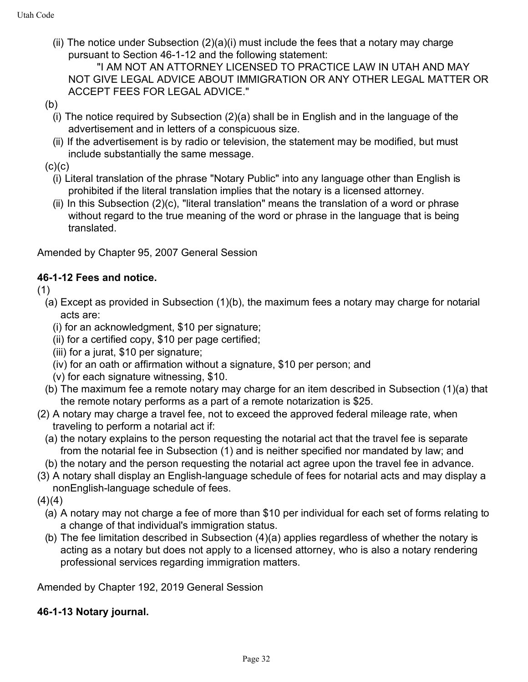(ii) The notice under Subsection (2)(a)(i) must include the fees that a notary may charge pursuant to Section 46-1-12 and the following statement:

"I AM NOT AN ATTORNEY LICENSED TO PRACTICE LAW IN UTAH AND MAY NOT GIVE LEGAL ADVICE ABOUT IMMIGRATION OR ANY OTHER LEGAL MATTER OR ACCEPT FEES FOR LEGAL ADVICE."

- (b)
	- (i) The notice required by Subsection (2)(a) shall be in English and in the language of the advertisement and in letters of a conspicuous size.
	- (ii) If the advertisement is by radio or television, the statement may be modified, but must include substantially the same message.

 $(c)(c)$ 

- (i) Literal translation of the phrase "Notary Public" into any language other than English is prohibited if the literal translation implies that the notary is a licensed attorney.
- (ii) In this Subsection  $(2)(c)$ , "literal translation" means the translation of a word or phrase without regard to the true meaning of the word or phrase in the language that is being translated.

Amended by Chapter 95, 2007 General Session

### **46-1-12 Fees and notice.**

(1)

- (a) Except as provided in Subsection (1)(b), the maximum fees a notary may charge for notarial acts are:
	- (i) for an acknowledgment, \$10 per signature;
	- (ii) for a certified copy, \$10 per page certified;
	- (iii) for a jurat, \$10 per signature;
	- (iv) for an oath or affirmation without a signature, \$10 per person; and
	- (v) for each signature witnessing, \$10.
- (b) The maximum fee a remote notary may charge for an item described in Subsection (1)(a) that the remote notary performs as a part of a remote notarization is \$25.
- (2) A notary may charge a travel fee, not to exceed the approved federal mileage rate, when traveling to perform a notarial act if:
	- (a) the notary explains to the person requesting the notarial act that the travel fee is separate from the notarial fee in Subsection (1) and is neither specified nor mandated by law; and
	- (b) the notary and the person requesting the notarial act agree upon the travel fee in advance.
- (3) A notary shall display an English-language schedule of fees for notarial acts and may display a nonEnglish-language schedule of fees.

 $(4)(4)$ 

- (a) A notary may not charge a fee of more than \$10 per individual for each set of forms relating to a change of that individual's immigration status.
- (b) The fee limitation described in Subsection (4)(a) applies regardless of whether the notary is acting as a notary but does not apply to a licensed attorney, who is also a notary rendering professional services regarding immigration matters.

Amended by Chapter 192, 2019 General Session

### **46-1-13 Notary journal.**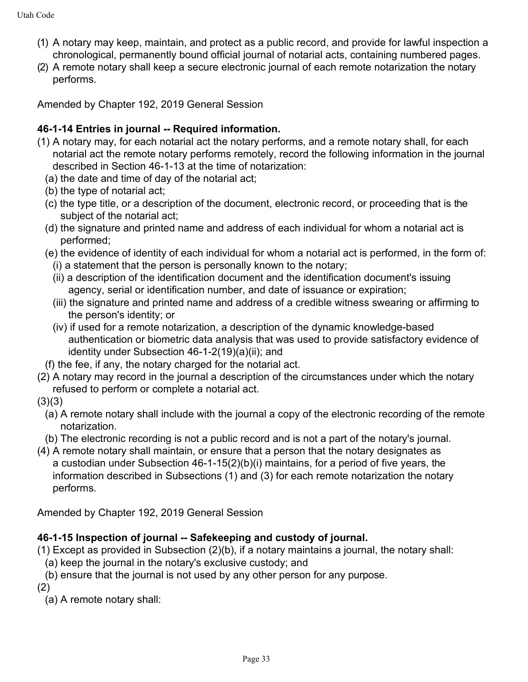- (1) A notary may keep, maintain, and protect as a public record, and provide for lawful inspection a chronological, permanently bound official journal of notarial acts, containing numbered pages.
- (2) A remote notary shall keep a secure electronic journal of each remote notarization the notary performs.

Amended by Chapter 192, 2019 General Session

### **46-1-14 Entries in journal -- Required information.**

- (1) A notary may, for each notarial act the notary performs, and a remote notary shall, for each notarial act the remote notary performs remotely, record the following information in the journal described in Section 46-1-13 at the time of notarization:
	- (a) the date and time of day of the notarial act;
	- (b) the type of notarial act;
	- (c) the type title, or a description of the document, electronic record, or proceeding that is the subject of the notarial act;
	- (d) the signature and printed name and address of each individual for whom a notarial act is performed;
	- (e) the evidence of identity of each individual for whom a notarial act is performed, in the form of: (i) a statement that the person is personally known to the notary;
		- (ii) a description of the identification document and the identification document's issuing agency, serial or identification number, and date of issuance or expiration;
		- (iii) the signature and printed name and address of a credible witness swearing or affirming to the person's identity; or
		- (iv) if used for a remote notarization, a description of the dynamic knowledge-based authentication or biometric data analysis that was used to provide satisfactory evidence of identity under Subsection 46-1-2(19)(a)(ii); and
	- (f) the fee, if any, the notary charged for the notarial act.
- (2) A notary may record in the journal a description of the circumstances under which the notary refused to perform or complete a notarial act.
- $(3)(3)$ 
	- (a) A remote notary shall include with the journal a copy of the electronic recording of the remote notarization.
- (b) The electronic recording is not a public record and is not a part of the notary's journal.
- (4) A remote notary shall maintain, or ensure that a person that the notary designates as a custodian under Subsection 46-1-15(2)(b)(i) maintains, for a period of five years, the information described in Subsections (1) and (3) for each remote notarization the notary performs.

Amended by Chapter 192, 2019 General Session

### **46-1-15 Inspection of journal -- Safekeeping and custody of journal.**

- (1) Except as provided in Subsection (2)(b), if a notary maintains a journal, the notary shall:
- (a) keep the journal in the notary's exclusive custody; and
- (b) ensure that the journal is not used by any other person for any purpose.
- (2)

(a) A remote notary shall: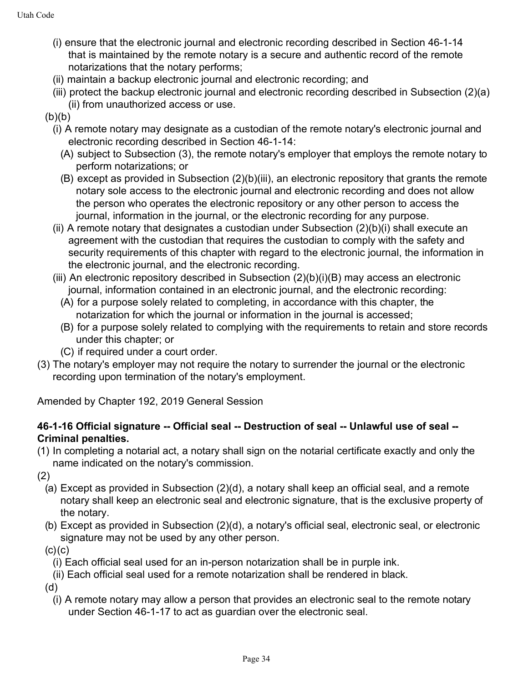- (i) ensure that the electronic journal and electronic recording described in Section 46-1-14 that is maintained by the remote notary is a secure and authentic record of the remote notarizations that the notary performs;
- (ii) maintain a backup electronic journal and electronic recording; and
- (iii) protect the backup electronic journal and electronic recording described in Subsection (2)(a) (ii) from unauthorized access or use.
- $(b)(b)$ 
	- (i) A remote notary may designate as a custodian of the remote notary's electronic journal and electronic recording described in Section 46-1-14:
		- (A) subject to Subsection (3), the remote notary's employer that employs the remote notary to perform notarizations; or
		- (B) except as provided in Subsection (2)(b)(iii), an electronic repository that grants the remote notary sole access to the electronic journal and electronic recording and does not allow the person who operates the electronic repository or any other person to access the journal, information in the journal, or the electronic recording for any purpose.
	- (ii) A remote notary that designates a custodian under Subsection (2)(b)(i) shall execute an agreement with the custodian that requires the custodian to comply with the safety and security requirements of this chapter with regard to the electronic journal, the information in the electronic journal, and the electronic recording.
	- (iii) An electronic repository described in Subsection (2)(b)(i)(B) may access an electronic journal, information contained in an electronic journal, and the electronic recording:
		- (A) for a purpose solely related to completing, in accordance with this chapter, the notarization for which the journal or information in the journal is accessed;
		- (B) for a purpose solely related to complying with the requirements to retain and store records under this chapter; or
		- (C) if required under a court order.
- (3) The notary's employer may not require the notary to surrender the journal or the electronic recording upon termination of the notary's employment.

Amended by Chapter 192, 2019 General Session

### **46-1-16 Official signature -- Official seal -- Destruction of seal -- Unlawful use of seal -- Criminal penalties.**

- (1) In completing a notarial act, a notary shall sign on the notarial certificate exactly and only the name indicated on the notary's commission.
- (2)
	- (a) Except as provided in Subsection (2)(d), a notary shall keep an official seal, and a remote notary shall keep an electronic seal and electronic signature, that is the exclusive property of the notary.
	- (b) Except as provided in Subsection (2)(d), a notary's official seal, electronic seal, or electronic signature may not be used by any other person.

 $(c)(c)$ 

- (i) Each official seal used for an in-person notarization shall be in purple ink.
- (ii) Each official seal used for a remote notarization shall be rendered in black.

(d)

(i) A remote notary may allow a person that provides an electronic seal to the remote notary under Section 46-1-17 to act as guardian over the electronic seal.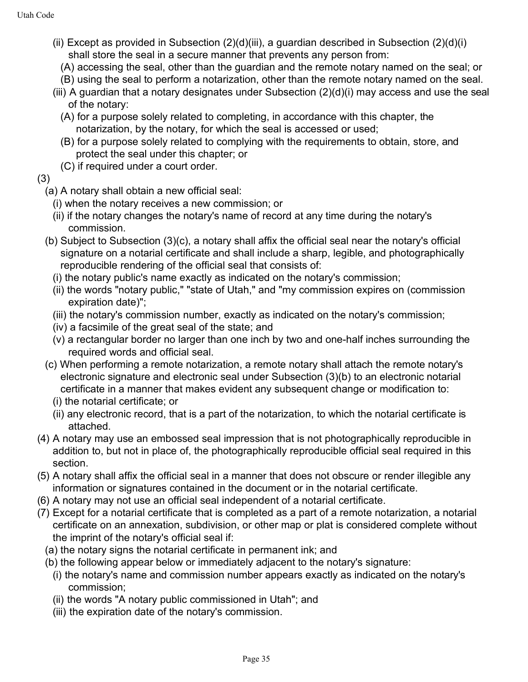- (ii) Except as provided in Subsection  $(2)(d)(iii)$ , a guardian described in Subsection  $(2)(d)(i)$ shall store the seal in a secure manner that prevents any person from:
	- (A) accessing the seal, other than the guardian and the remote notary named on the seal; or
	- (B) using the seal to perform a notarization, other than the remote notary named on the seal.
- (iii) A guardian that a notary designates under Subsection (2)(d)(i) may access and use the seal of the notary:
	- (A) for a purpose solely related to completing, in accordance with this chapter, the notarization, by the notary, for which the seal is accessed or used;
	- (B) for a purpose solely related to complying with the requirements to obtain, store, and protect the seal under this chapter; or
	- (C) if required under a court order.

### (3)

- (a) A notary shall obtain a new official seal:
	- (i) when the notary receives a new commission; or
	- (ii) if the notary changes the notary's name of record at any time during the notary's commission.
- (b) Subject to Subsection (3)(c), a notary shall affix the official seal near the notary's official signature on a notarial certificate and shall include a sharp, legible, and photographically reproducible rendering of the official seal that consists of:
	- (i) the notary public's name exactly as indicated on the notary's commission;
	- (ii) the words "notary public," "state of Utah," and "my commission expires on (commission expiration date)";
	- (iii) the notary's commission number, exactly as indicated on the notary's commission;
	- (iv) a facsimile of the great seal of the state; and
	- (v) a rectangular border no larger than one inch by two and one-half inches surrounding the required words and official seal.
- (c) When performing a remote notarization, a remote notary shall attach the remote notary's electronic signature and electronic seal under Subsection (3)(b) to an electronic notarial certificate in a manner that makes evident any subsequent change or modification to:
	- (i) the notarial certificate; or
	- (ii) any electronic record, that is a part of the notarization, to which the notarial certificate is attached.
- (4) A notary may use an embossed seal impression that is not photographically reproducible in addition to, but not in place of, the photographically reproducible official seal required in this section.
- (5) A notary shall affix the official seal in a manner that does not obscure or render illegible any information or signatures contained in the document or in the notarial certificate.
- (6) A notary may not use an official seal independent of a notarial certificate.
- (7) Except for a notarial certificate that is completed as a part of a remote notarization, a notarial certificate on an annexation, subdivision, or other map or plat is considered complete without the imprint of the notary's official seal if:
	- (a) the notary signs the notarial certificate in permanent ink; and
	- (b) the following appear below or immediately adjacent to the notary's signature:
		- (i) the notary's name and commission number appears exactly as indicated on the notary's commission;
		- (ii) the words "A notary public commissioned in Utah"; and
		- (iii) the expiration date of the notary's commission.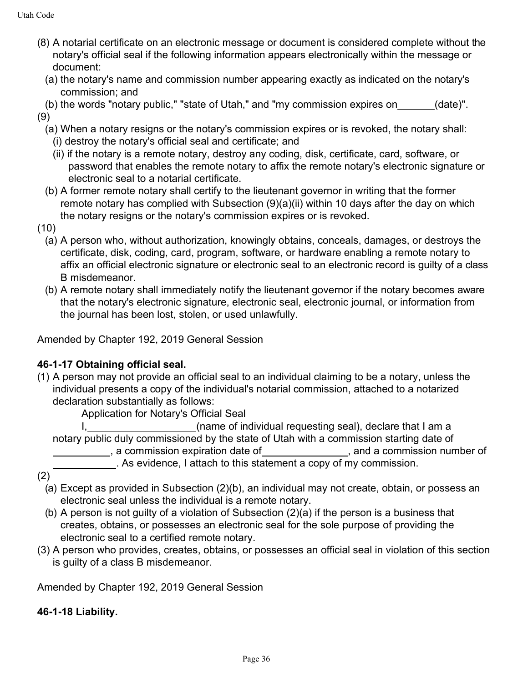- (8) A notarial certificate on an electronic message or document is considered complete without the notary's official seal if the following information appears electronically within the message or document:
	- (a) the notary's name and commission number appearing exactly as indicated on the notary's commission; and
- (b) the words "notary public," "state of Utah," and "my commission expires on (date)". (9)
	- (a) When a notary resigns or the notary's commission expires or is revoked, the notary shall: (i) destroy the notary's official seal and certificate; and
		- (ii) if the notary is a remote notary, destroy any coding, disk, certificate, card, software, or
		- password that enables the remote notary to affix the remote notary's electronic signature or electronic seal to a notarial certificate.
	- (b) A former remote notary shall certify to the lieutenant governor in writing that the former remote notary has complied with Subsection (9)(a)(ii) within 10 days after the day on which the notary resigns or the notary's commission expires or is revoked.
- (10)
	- (a) A person who, without authorization, knowingly obtains, conceals, damages, or destroys the certificate, disk, coding, card, program, software, or hardware enabling a remote notary to affix an official electronic signature or electronic seal to an electronic record is guilty of a class B misdemeanor.
	- (b) A remote notary shall immediately notify the lieutenant governor if the notary becomes aware that the notary's electronic signature, electronic seal, electronic journal, or information from the journal has been lost, stolen, or used unlawfully.

Amended by Chapter 192, 2019 General Session

### **46-1-17 Obtaining official seal.**

(1) A person may not provide an official seal to an individual claiming to be a notary, unless the individual presents a copy of the individual's notarial commission, attached to a notarized declaration substantially as follows:

Application for Notary's Official Seal

I, (name of individual requesting seal), declare that I am a notary public duly commissioned by the state of Utah with a commission starting date of example and a commission expiration date of  $\Box$  and a commission number of **EXECUTE:** As evidence, I attach to this statement a copy of my commission.

- (2)
	- (a) Except as provided in Subsection (2)(b), an individual may not create, obtain, or possess an electronic seal unless the individual is a remote notary.
	- (b) A person is not guilty of a violation of Subsection (2)(a) if the person is a business that creates, obtains, or possesses an electronic seal for the sole purpose of providing the electronic seal to a certified remote notary.
- (3) A person who provides, creates, obtains, or possesses an official seal in violation of this section is guilty of a class B misdemeanor.

Amended by Chapter 192, 2019 General Session

### **46-1-18 Liability.**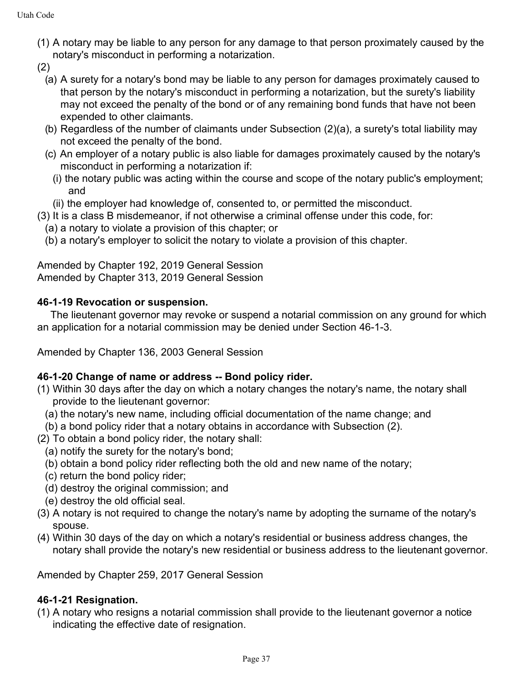- (1) A notary may be liable to any person for any damage to that person proximately caused by the notary's misconduct in performing a notarization.
- (2)
	- (a) A surety for a notary's bond may be liable to any person for damages proximately caused to that person by the notary's misconduct in performing a notarization, but the surety's liability may not exceed the penalty of the bond or of any remaining bond funds that have not been expended to other claimants.
	- (b) Regardless of the number of claimants under Subsection (2)(a), a surety's total liability may not exceed the penalty of the bond.
	- (c) An employer of a notary public is also liable for damages proximately caused by the notary's misconduct in performing a notarization if:
		- (i) the notary public was acting within the course and scope of the notary public's employment; and
	- (ii) the employer had knowledge of, consented to, or permitted the misconduct.
- (3) It is a class B misdemeanor, if not otherwise a criminal offense under this code, for:
	- (a) a notary to violate a provision of this chapter; or
	- (b) a notary's employer to solicit the notary to violate a provision of this chapter.

Amended by Chapter 192, 2019 General Session Amended by Chapter 313, 2019 General Session

### **46-1-19 Revocation or suspension.**

The lieutenant governor may revoke or suspend a notarial commission on any ground for which an application for a notarial commission may be denied under Section 46-1-3.

Amended by Chapter 136, 2003 General Session

### **46-1-20 Change of name or address -- Bond policy rider.**

- (1) Within 30 days after the day on which a notary changes the notary's name, the notary shall provide to the lieutenant governor:
	- (a) the notary's new name, including official documentation of the name change; and
- (b) a bond policy rider that a notary obtains in accordance with Subsection (2).
- (2) To obtain a bond policy rider, the notary shall:
- (a) notify the surety for the notary's bond;
- (b) obtain a bond policy rider reflecting both the old and new name of the notary;
- (c) return the bond policy rider;
- (d) destroy the original commission; and
- (e) destroy the old official seal.
- (3) A notary is not required to change the notary's name by adopting the surname of the notary's spouse.
- (4) Within 30 days of the day on which a notary's residential or business address changes, the notary shall provide the notary's new residential or business address to the lieutenant governor.

Amended by Chapter 259, 2017 General Session

### **46-1-21 Resignation.**

(1) A notary who resigns a notarial commission shall provide to the lieutenant governor a notice indicating the effective date of resignation.